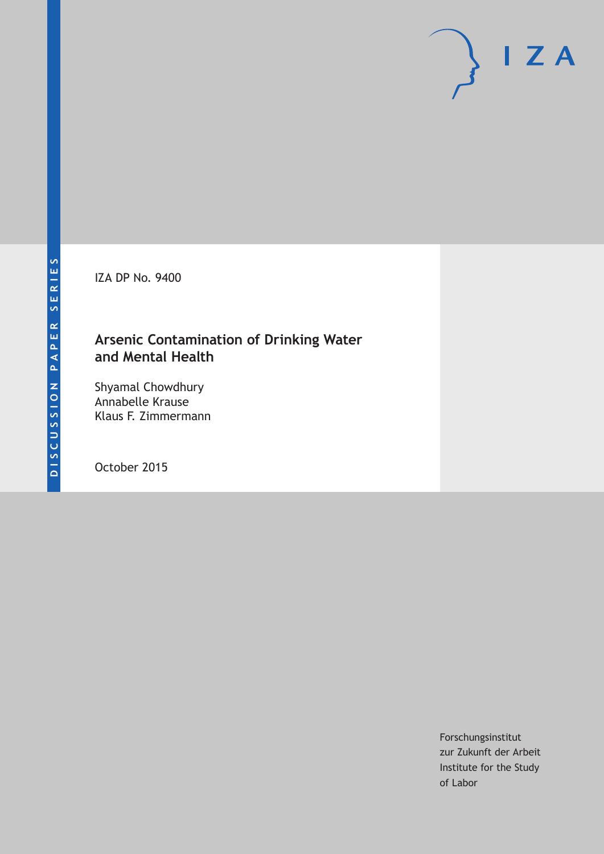IZA DP No. 9400

# **Arsenic Contamination of Drinking Water and Mental Health**

Shyamal Chowdhury Annabelle Krause Klaus F. Zimmermann

October 2015

Forschungsinstitut zur Zukunft der Arbeit Institute for the Study of Labor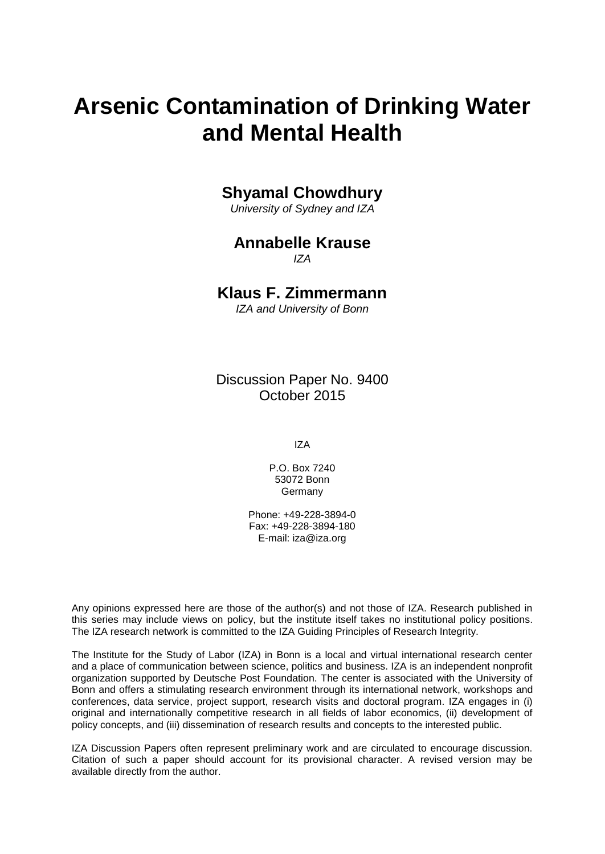# **Arsenic Contamination of Drinking Water and Mental Health**

## **Shyamal Chowdhury**

*University of Sydney and IZA*

#### **Annabelle Krause** *IZA*

### **Klaus F. Zimmermann**

*IZA and University of Bonn*

Discussion Paper No. 9400 October 2015

IZA

P.O. Box 7240 53072 Bonn Germany

Phone: +49-228-3894-0 Fax: +49-228-3894-180 E-mail: iza@iza.org

Any opinions expressed here are those of the author(s) and not those of IZA. Research published in this series may include views on policy, but the institute itself takes no institutional policy positions. The IZA research network is committed to the IZA Guiding Principles of Research Integrity.

The Institute for the Study of Labor (IZA) in Bonn is a local and virtual international research center and a place of communication between science, politics and business. IZA is an independent nonprofit organization supported by Deutsche Post Foundation. The center is associated with the University of Bonn and offers a stimulating research environment through its international network, workshops and conferences, data service, project support, research visits and doctoral program. IZA engages in (i) original and internationally competitive research in all fields of labor economics, (ii) development of policy concepts, and (iii) dissemination of research results and concepts to the interested public.

IZA Discussion Papers often represent preliminary work and are circulated to encourage discussion. Citation of such a paper should account for its provisional character. A revised version may be available directly from the author.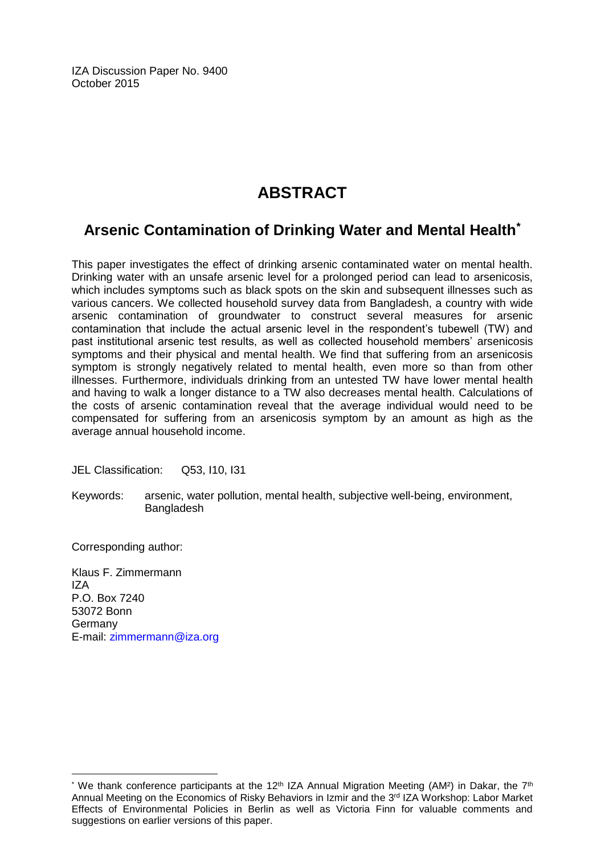IZA Discussion Paper No. 9400 October 2015

# **ABSTRACT**

# **Arsenic Contamination of Drinking Water and Mental Health\***

This paper investigates the effect of drinking arsenic contaminated water on mental health. Drinking water with an unsafe arsenic level for a prolonged period can lead to arsenicosis, which includes symptoms such as black spots on the skin and subsequent illnesses such as various cancers. We collected household survey data from Bangladesh, a country with wide arsenic contamination of groundwater to construct several measures for arsenic contamination that include the actual arsenic level in the respondent's tubewell (TW) and past institutional arsenic test results, as well as collected household members' arsenicosis symptoms and their physical and mental health. We find that suffering from an arsenicosis symptom is strongly negatively related to mental health, even more so than from other illnesses. Furthermore, individuals drinking from an untested TW have lower mental health and having to walk a longer distance to a TW also decreases mental health. Calculations of the costs of arsenic contamination reveal that the average individual would need to be compensated for suffering from an arsenicosis symptom by an amount as high as the average annual household income.

JEL Classification: Q53, I10, I31

Keywords: arsenic, water pollution, mental health, subjective well-being, environment, Bangladesh

Corresponding author:

 $\overline{a}$ 

Klaus F. Zimmermann IZA P.O. Box 7240 53072 Bonn Germany E-mail: [zimmermann@iza.org](mailto:zimmermann@iza.org)

<sup>&</sup>lt;sup>\*</sup> We thank conference participants at the 12<sup>th</sup> IZA Annual Migration Meeting (AM<sup>2</sup>) in Dakar, the 7<sup>th</sup> Annual Meeting on the Economics of Risky Behaviors in Izmir and the 3rd IZA Workshop: Labor Market Effects of Environmental Policies in Berlin as well as Victoria Finn for valuable comments and suggestions on earlier versions of this paper.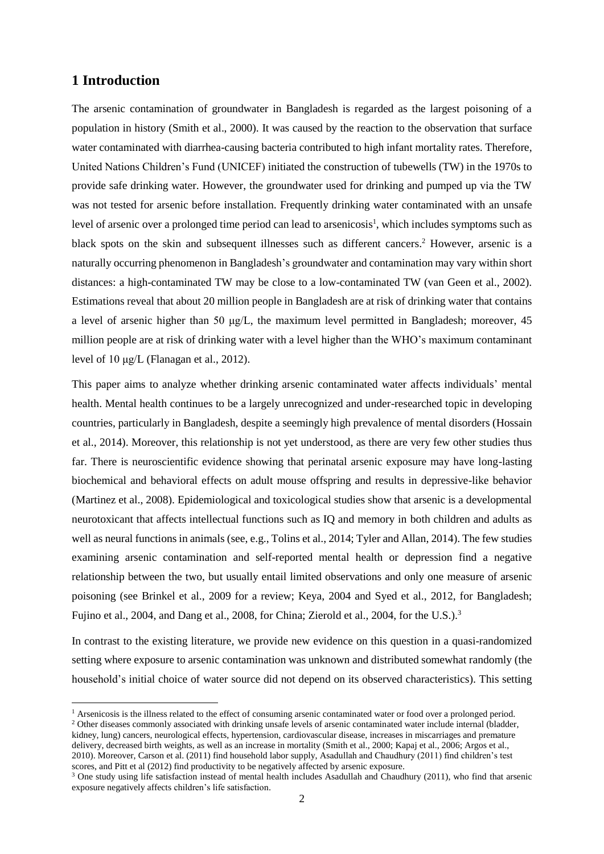#### **1 Introduction**

**.** 

The arsenic contamination of groundwater in Bangladesh is regarded as the largest poisoning of a population in history (Smith et al., 2000). It was caused by the reaction to the observation that surface water contaminated with diarrhea-causing bacteria contributed to high infant mortality rates. Therefore, United Nations Children's Fund (UNICEF) initiated the construction of tubewells (TW) in the 1970s to provide safe drinking water. However, the groundwater used for drinking and pumped up via the TW was not tested for arsenic before installation. Frequently drinking water contaminated with an unsafe level of arsenic over a prolonged time period can lead to arsenicosis<sup>1</sup>, which includes symptoms such as black spots on the skin and subsequent illnesses such as different cancers. <sup>2</sup> However, arsenic is a naturally occurring phenomenon in Bangladesh's groundwater and contamination may vary within short distances: a high-contaminated TW may be close to a low-contaminated TW (van Geen et al., 2002). Estimations reveal that about 20 million people in Bangladesh are at risk of drinking water that contains a level of arsenic higher than 50 μg/L, the maximum level permitted in Bangladesh; moreover, 45 million people are at risk of drinking water with a level higher than the WHO's maximum contaminant level of 10 μg/L (Flanagan et al., 2012).

This paper aims to analyze whether drinking arsenic contaminated water affects individuals' mental health. Mental health continues to be a largely unrecognized and under-researched topic in developing countries, particularly in Bangladesh, despite a seemingly high prevalence of mental disorders (Hossain et al., 2014). Moreover, this relationship is not yet understood, as there are very few other studies thus far. There is neuroscientific evidence showing that perinatal arsenic exposure may have long-lasting biochemical and behavioral effects on adult mouse offspring and results in depressive-like behavior (Martinez et al., 2008). Epidemiological and toxicological studies show that arsenic is a developmental neurotoxicant that affects intellectual functions such as IQ and memory in both children and adults as well as neural functions in animals (see, e.g., Tolins et al., 2014; Tyler and Allan, 2014). The few studies examining arsenic contamination and self-reported mental health or depression find a negative relationship between the two, but usually entail limited observations and only one measure of arsenic poisoning (see Brinkel et al., 2009 for a review; Keya, 2004 and Syed et al., 2012, for Bangladesh; Fujino et al., 2004, and Dang et al., 2008, for China; Zierold et al., 2004, for the U.S.).<sup>3</sup>

In contrast to the existing literature, we provide new evidence on this question in a quasi-randomized setting where exposure to arsenic contamination was unknown and distributed somewhat randomly (the household's initial choice of water source did not depend on its observed characteristics). This setting

<sup>&</sup>lt;sup>1</sup> Arsenicosis is the illness related to the effect of consuming arsenic contaminated water or food over a prolonged period. <sup>2</sup> Other diseases commonly associated with drinking unsafe levels of arsenic contaminated water include internal (bladder, kidney, lung) cancers, neurological effects, hypertension, cardiovascular disease, increases in miscarriages and premature delivery, decreased birth weights, as well as an increase in mortality (Smith et al., 2000; Kapaj et al., 2006; Argos et al., 2010). Moreover, Carson et al. (2011) find household labor supply, Asadullah and Chaudhury (2011) find children's test scores, and Pitt et al (2012) find productivity to be negatively affected by arsenic exposure.

<sup>&</sup>lt;sup>3</sup> One study using life satisfaction instead of mental health includes Asadullah and Chaudhury (2011), who find that arsenic exposure negatively affects children's life satisfaction.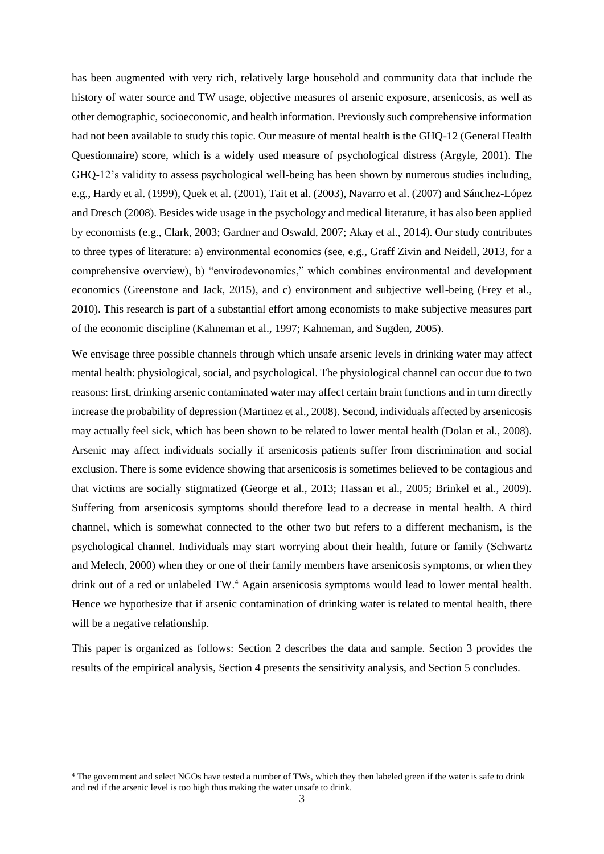has been augmented with very rich, relatively large household and community data that include the history of water source and TW usage, objective measures of arsenic exposure, arsenicosis, as well as other demographic, socioeconomic, and health information. Previously such comprehensive information had not been available to study this topic. Our measure of mental health is the GHQ-12 (General Health Questionnaire) score, which is a widely used measure of psychological distress (Argyle, 2001). The GHQ-12's validity to assess psychological well-being has been shown by numerous studies including, e.g., Hardy et al. (1999), Quek et al. (2001), Tait et al. (2003), Navarro et al. (2007) and Sánchez-López and Dresch (2008). Besides wide usage in the psychology and medical literature, it has also been applied by economists (e.g., Clark, 2003; Gardner and Oswald, 2007; Akay et al., 2014). Our study contributes to three types of literature: a) environmental economics (see, e.g., Graff Zivin and Neidell, 2013, for a comprehensive overview), b) "envirodevonomics," which combines environmental and development economics (Greenstone and Jack, 2015), and c) environment and subjective well-being (Frey et al., 2010). This research is part of a substantial effort among economists to make subjective measures part of the economic discipline (Kahneman et al., 1997; Kahneman, and Sugden, 2005).

We envisage three possible channels through which unsafe arsenic levels in drinking water may affect mental health: physiological, social, and psychological. The physiological channel can occur due to two reasons: first, drinking arsenic contaminated water may affect certain brain functions and in turn directly increase the probability of depression (Martinez et al., 2008). Second, individuals affected by arsenicosis may actually feel sick, which has been shown to be related to lower mental health (Dolan et al., 2008). Arsenic may affect individuals socially if arsenicosis patients suffer from discrimination and social exclusion. There is some evidence showing that arsenicosis is sometimes believed to be contagious and that victims are socially stigmatized (George et al., 2013; Hassan et al., 2005; Brinkel et al., 2009). Suffering from arsenicosis symptoms should therefore lead to a decrease in mental health. A third channel, which is somewhat connected to the other two but refers to a different mechanism, is the psychological channel. Individuals may start worrying about their health, future or family (Schwartz and Melech, 2000) when they or one of their family members have arsenicosis symptoms, or when they drink out of a red or unlabeled TW.<sup>4</sup> Again arsenicosis symptoms would lead to lower mental health. Hence we hypothesize that if arsenic contamination of drinking water is related to mental health, there will be a negative relationship.

This paper is organized as follows: Section 2 describes the data and sample. Section 3 provides the results of the empirical analysis, Section 4 presents the sensitivity analysis, and Section 5 concludes.

 $\overline{\phantom{a}}$ 

<sup>4</sup> The government and select NGOs have tested a number of TWs, which they then labeled green if the water is safe to drink and red if the arsenic level is too high thus making the water unsafe to drink.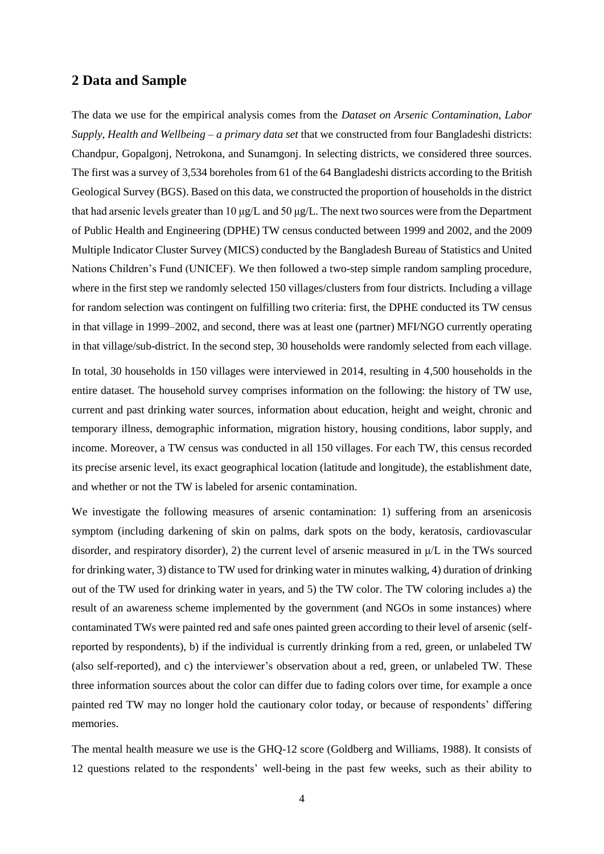#### **2 Data and Sample**

The data we use for the empirical analysis comes from the *Dataset on Arsenic Contamination, Labor Supply, Health and Wellbeing – a primary data set* that we constructed from four Bangladeshi districts: Chandpur, Gopalgonj, Netrokona, and Sunamgonj. In selecting districts, we considered three sources. The first was a survey of 3,534 boreholes from 61 of the 64 Bangladeshi districts according to the British Geological Survey (BGS). Based on this data, we constructed the proportion of households in the district that had arsenic levels greater than 10 μg/L and 50 μg/L. The next two sources were from the Department of Public Health and Engineering (DPHE) TW census conducted between 1999 and 2002, and the 2009 Multiple Indicator Cluster Survey (MICS) conducted by the Bangladesh Bureau of Statistics and United Nations Children's Fund (UNICEF). We then followed a two-step simple random sampling procedure, where in the first step we randomly selected 150 villages/clusters from four districts. Including a village for random selection was contingent on fulfilling two criteria: first, the DPHE conducted its TW census in that village in 1999–2002, and second, there was at least one (partner) MFI/NGO currently operating in that village/sub-district. In the second step, 30 households were randomly selected from each village.

In total, 30 households in 150 villages were interviewed in 2014, resulting in 4,500 households in the entire dataset. The household survey comprises information on the following: the history of TW use, current and past drinking water sources, information about education, height and weight, chronic and temporary illness, demographic information, migration history, housing conditions, labor supply, and income. Moreover, a TW census was conducted in all 150 villages. For each TW, this census recorded its precise arsenic level, its exact geographical location (latitude and longitude), the establishment date, and whether or not the TW is labeled for arsenic contamination.

We investigate the following measures of arsenic contamination: 1) suffering from an arsenicosis symptom (including darkening of skin on palms, dark spots on the body, keratosis, cardiovascular disorder, and respiratory disorder), 2) the current level of arsenic measured in  $\mu/L$  in the TWs sourced for drinking water, 3) distance to TW used for drinking water in minutes walking, 4) duration of drinking out of the TW used for drinking water in years, and 5) the TW color. The TW coloring includes a) the result of an awareness scheme implemented by the government (and NGOs in some instances) where contaminated TWs were painted red and safe ones painted green according to their level of arsenic (selfreported by respondents), b) if the individual is currently drinking from a red, green, or unlabeled TW (also self-reported), and c) the interviewer's observation about a red, green, or unlabeled TW. These three information sources about the color can differ due to fading colors over time, for example a once painted red TW may no longer hold the cautionary color today, or because of respondents' differing memories.

The mental health measure we use is the GHQ-12 score (Goldberg and Williams, 1988). It consists of 12 questions related to the respondents' well-being in the past few weeks, such as their ability to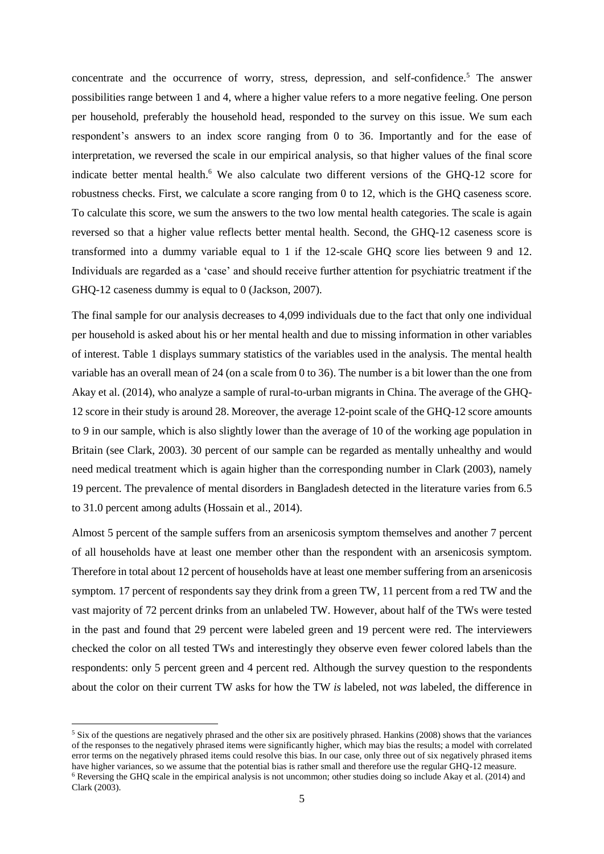concentrate and the occurrence of worry, stress, depression, and self-confidence.<sup>5</sup> The answer possibilities range between 1 and 4, where a higher value refers to a more negative feeling. One person per household, preferably the household head, responded to the survey on this issue. We sum each respondent's answers to an index score ranging from 0 to 36. Importantly and for the ease of interpretation, we reversed the scale in our empirical analysis, so that higher values of the final score indicate better mental health.<sup>6</sup> We also calculate two different versions of the GHQ-12 score for robustness checks. First, we calculate a score ranging from 0 to 12, which is the GHQ caseness score. To calculate this score, we sum the answers to the two low mental health categories. The scale is again reversed so that a higher value reflects better mental health. Second, the GHQ-12 caseness score is transformed into a dummy variable equal to 1 if the 12-scale GHQ score lies between 9 and 12. Individuals are regarded as a 'case' and should receive further attention for psychiatric treatment if the GHQ-12 caseness dummy is equal to 0 (Jackson, 2007).

The final sample for our analysis decreases to 4,099 individuals due to the fact that only one individual per household is asked about his or her mental health and due to missing information in other variables of interest. Table 1 displays summary statistics of the variables used in the analysis. The mental health variable has an overall mean of 24 (on a scale from 0 to 36). The number is a bit lower than the one from Akay et al. (2014), who analyze a sample of rural-to-urban migrants in China. The average of the GHQ-12 score in their study is around 28. Moreover, the average 12-point scale of the GHQ-12 score amounts to 9 in our sample, which is also slightly lower than the average of 10 of the working age population in Britain (see Clark, 2003). 30 percent of our sample can be regarded as mentally unhealthy and would need medical treatment which is again higher than the corresponding number in Clark (2003), namely 19 percent. The prevalence of mental disorders in Bangladesh detected in the literature varies from 6.5 to 31.0 percent among adults (Hossain et al., 2014).

Almost 5 percent of the sample suffers from an arsenicosis symptom themselves and another 7 percent of all households have at least one member other than the respondent with an arsenicosis symptom. Therefore in total about 12 percent of households have at least one member suffering from an arsenicosis symptom. 17 percent of respondents say they drink from a green TW, 11 percent from a red TW and the vast majority of 72 percent drinks from an unlabeled TW. However, about half of the TWs were tested in the past and found that 29 percent were labeled green and 19 percent were red. The interviewers checked the color on all tested TWs and interestingly they observe even fewer colored labels than the respondents: only 5 percent green and 4 percent red. Although the survey question to the respondents about the color on their current TW asks for how the TW *is* labeled, not *was* labeled, the difference in

**.** 

<sup>&</sup>lt;sup>5</sup> Six of the questions are negatively phrased and the other six are positively phrased. Hankins (2008) shows that the variances of the responses to the negatively phrased items were significantly higher, which may bias the results; a model with correlated error terms on the negatively phrased items could resolve this bias. In our case, only three out of six negatively phrased items have higher variances, so we assume that the potential bias is rather small and therefore use the regular GHQ-12 measure. <sup>6</sup> Reversing the GHQ scale in the empirical analysis is not uncommon; other studies doing so include Akay et al. (2014) and Clark (2003).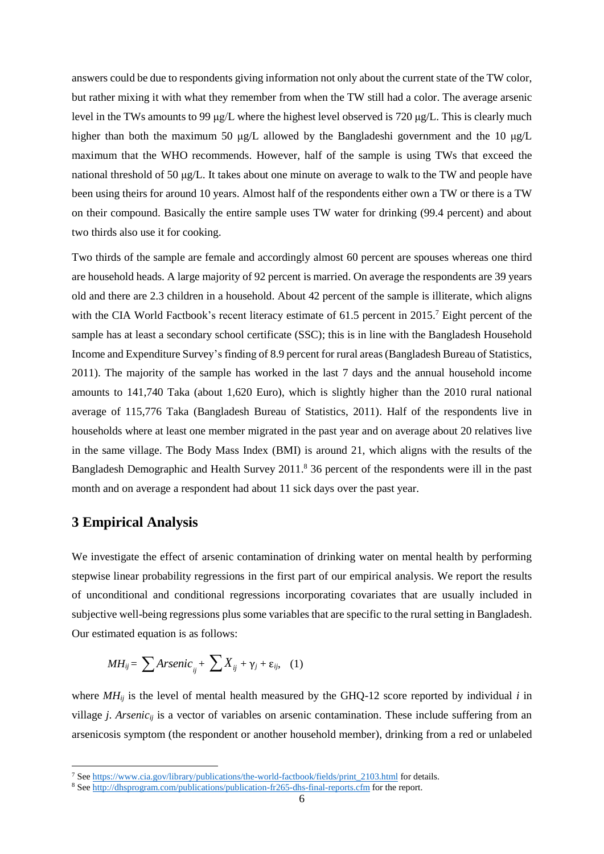answers could be due to respondents giving information not only about the current state of the TW color, but rather mixing it with what they remember from when the TW still had a color. The average arsenic level in the TWs amounts to 99 μg/L where the highest level observed is 720 μg/L. This is clearly much higher than both the maximum 50 μg/L allowed by the Bangladeshi government and the 10 μg/L maximum that the WHO recommends. However, half of the sample is using TWs that exceed the national threshold of 50 μg/L. It takes about one minute on average to walk to the TW and people have been using theirs for around 10 years. Almost half of the respondents either own a TW or there is a TW on their compound. Basically the entire sample uses TW water for drinking (99.4 percent) and about two thirds also use it for cooking.

Two thirds of the sample are female and accordingly almost 60 percent are spouses whereas one third are household heads. A large majority of 92 percent is married. On average the respondents are 39 years old and there are 2.3 children in a household. About 42 percent of the sample is illiterate, which aligns with the CIA World Factbook's recent literacy estimate of 61.5 percent in 2015.<sup>7</sup> Eight percent of the sample has at least a secondary school certificate (SSC); this is in line with the Bangladesh Household Income and Expenditure Survey's finding of 8.9 percent for rural areas (Bangladesh Bureau of Statistics, 2011). The majority of the sample has worked in the last 7 days and the annual household income amounts to 141,740 Taka (about 1,620 Euro), which is slightly higher than the 2010 rural national average of 115,776 Taka (Bangladesh Bureau of Statistics, 2011). Half of the respondents live in households where at least one member migrated in the past year and on average about 20 relatives live in the same village. The Body Mass Index (BMI) is around 21, which aligns with the results of the Bangladesh Demographic and Health Survey 2011. <sup>8</sup> 36 percent of the respondents were ill in the past month and on average a respondent had about 11 sick days over the past year.

#### **3 Empirical Analysis**

 $\overline{\phantom{a}}$ 

We investigate the effect of arsenic contamination of drinking water on mental health by performing stepwise linear probability regressions in the first part of our empirical analysis. We report the results of unconditional and conditional regressions incorporating covariates that are usually included in subjective well-being regressions plus some variables that are specific to the rural setting in Bangladesh. Our estimated equation is as follows:

$$
MH_{ij} = \sum Arsenic_{ij} + \sum X_{ij} + \gamma_j + \varepsilon_{ij}, \quad (1)
$$

where  $MH_{ij}$  is the level of mental health measured by the GHQ-12 score reported by individual *i* in village *j. Arsenic<sub>ij</sub>* is a vector of variables on arsenic contamination. These include suffering from an arsenicosis symptom (the respondent or another household member), drinking from a red or unlabeled

<sup>7</sup> Se[e https://www.cia.gov/library/publications/the-world-factbook/fields/print\\_2103.html](https://www.cia.gov/library/publications/the-world-factbook/fields/print_2103.html) for details.

<sup>&</sup>lt;sup>8</sup> Se[e http://dhsprogram.com/publications/publication-fr265-dhs-final-reports.cfm](http://dhsprogram.com/publications/publication-fr265-dhs-final-reports.cfm) for the report.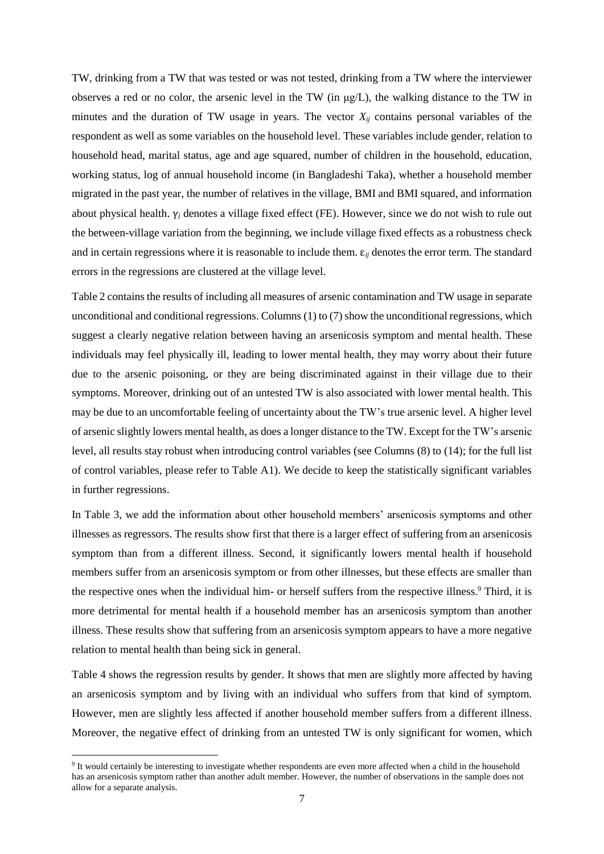TW, drinking from a TW that was tested or was not tested, drinking from a TW where the interviewer observes a red or no color, the arsenic level in the TW (in μg/L), the walking distance to the TW in minutes and the duration of TW usage in years. The vector  $X_{ij}$  contains personal variables of the respondent as well as some variables on the household level. These variables include gender, relation to household head, marital status, age and age squared, number of children in the household, education, working status, log of annual household income (in Bangladeshi Taka), whether a household member migrated in the past year, the number of relatives in the village, BMI and BMI squared, and information about physical health. γ*<sup>j</sup>* denotes a village fixed effect (FE). However, since we do not wish to rule out the between-village variation from the beginning, we include village fixed effects as a robustness check and in certain regressions where it is reasonable to include them. ε*ij* denotes the error term. The standard errors in the regressions are clustered at the village level.

Table 2 contains the results of including all measures of arsenic contamination and TW usage in separate unconditional and conditional regressions. Columns (1) to (7) show the unconditional regressions, which suggest a clearly negative relation between having an arsenicosis symptom and mental health. These individuals may feel physically ill, leading to lower mental health, they may worry about their future due to the arsenic poisoning, or they are being discriminated against in their village due to their symptoms. Moreover, drinking out of an untested TW is also associated with lower mental health. This may be due to an uncomfortable feeling of uncertainty about the TW's true arsenic level. A higher level of arsenic slightly lowers mental health, as does a longer distance to the TW. Except for the TW's arsenic level, all results stay robust when introducing control variables (see Columns (8) to (14); for the full list of control variables, please refer to Table A1). We decide to keep the statistically significant variables in further regressions.

In Table 3, we add the information about other household members' arsenicosis symptoms and other illnesses as regressors. The results show first that there is a larger effect of suffering from an arsenicosis symptom than from a different illness. Second, it significantly lowers mental health if household members suffer from an arsenicosis symptom or from other illnesses, but these effects are smaller than the respective ones when the individual him- or herself suffers from the respective illness.<sup>9</sup> Third, it is more detrimental for mental health if a household member has an arsenicosis symptom than another illness. These results show that suffering from an arsenicosis symptom appears to have a more negative relation to mental health than being sick in general.

Table 4 shows the regression results by gender. It shows that men are slightly more affected by having an arsenicosis symptom and by living with an individual who suffers from that kind of symptom. However, men are slightly less affected if another household member suffers from a different illness. Moreover, the negative effect of drinking from an untested TW is only significant for women, which

**.** 

<sup>&</sup>lt;sup>9</sup> It would certainly be interesting to investigate whether respondents are even more affected when a child in the household has an arsenicosis symptom rather than another adult member. However, the number of observations in the sample does not allow for a separate analysis.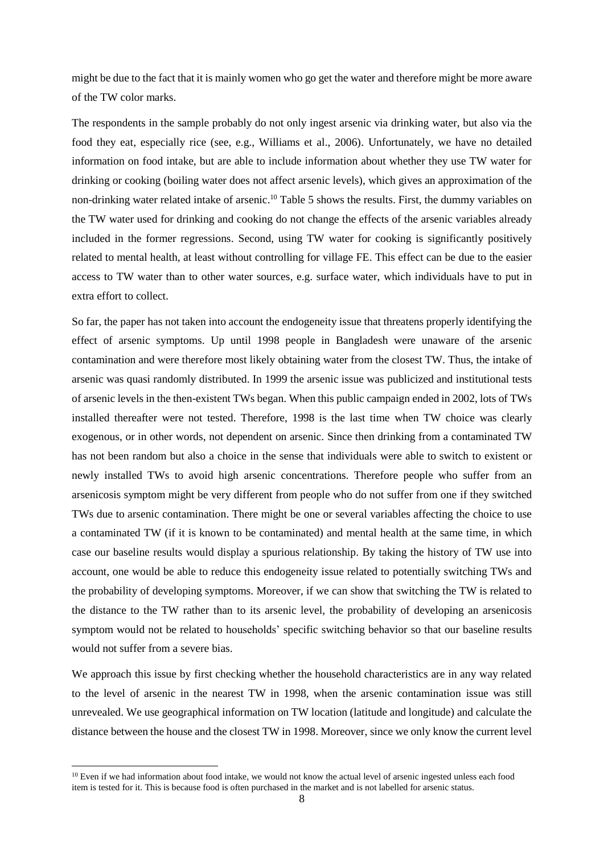might be due to the fact that it is mainly women who go get the water and therefore might be more aware of the TW color marks.

The respondents in the sample probably do not only ingest arsenic via drinking water, but also via the food they eat, especially rice (see, e.g., Williams et al., 2006). Unfortunately, we have no detailed information on food intake, but are able to include information about whether they use TW water for drinking or cooking (boiling water does not affect arsenic levels), which gives an approximation of the non-drinking water related intake of arsenic. <sup>10</sup> Table 5 shows the results. First, the dummy variables on the TW water used for drinking and cooking do not change the effects of the arsenic variables already included in the former regressions. Second, using TW water for cooking is significantly positively related to mental health, at least without controlling for village FE. This effect can be due to the easier access to TW water than to other water sources, e.g. surface water, which individuals have to put in extra effort to collect.

So far, the paper has not taken into account the endogeneity issue that threatens properly identifying the effect of arsenic symptoms. Up until 1998 people in Bangladesh were unaware of the arsenic contamination and were therefore most likely obtaining water from the closest TW. Thus, the intake of arsenic was quasi randomly distributed. In 1999 the arsenic issue was publicized and institutional tests of arsenic levels in the then-existent TWs began. When this public campaign ended in 2002, lots of TWs installed thereafter were not tested. Therefore, 1998 is the last time when TW choice was clearly exogenous, or in other words, not dependent on arsenic. Since then drinking from a contaminated TW has not been random but also a choice in the sense that individuals were able to switch to existent or newly installed TWs to avoid high arsenic concentrations. Therefore people who suffer from an arsenicosis symptom might be very different from people who do not suffer from one if they switched TWs due to arsenic contamination. There might be one or several variables affecting the choice to use a contaminated TW (if it is known to be contaminated) and mental health at the same time, in which case our baseline results would display a spurious relationship. By taking the history of TW use into account, one would be able to reduce this endogeneity issue related to potentially switching TWs and the probability of developing symptoms. Moreover, if we can show that switching the TW is related to the distance to the TW rather than to its arsenic level, the probability of developing an arsenicosis symptom would not be related to households' specific switching behavior so that our baseline results would not suffer from a severe bias.

We approach this issue by first checking whether the household characteristics are in any way related to the level of arsenic in the nearest TW in 1998, when the arsenic contamination issue was still unrevealed. We use geographical information on TW location (latitude and longitude) and calculate the distance between the house and the closest TW in 1998. Moreover, since we only know the current level

 $\overline{\phantom{a}}$ 

<sup>&</sup>lt;sup>10</sup> Even if we had information about food intake, we would not know the actual level of arsenic ingested unless each food item is tested for it. This is because food is often purchased in the market and is not labelled for arsenic status.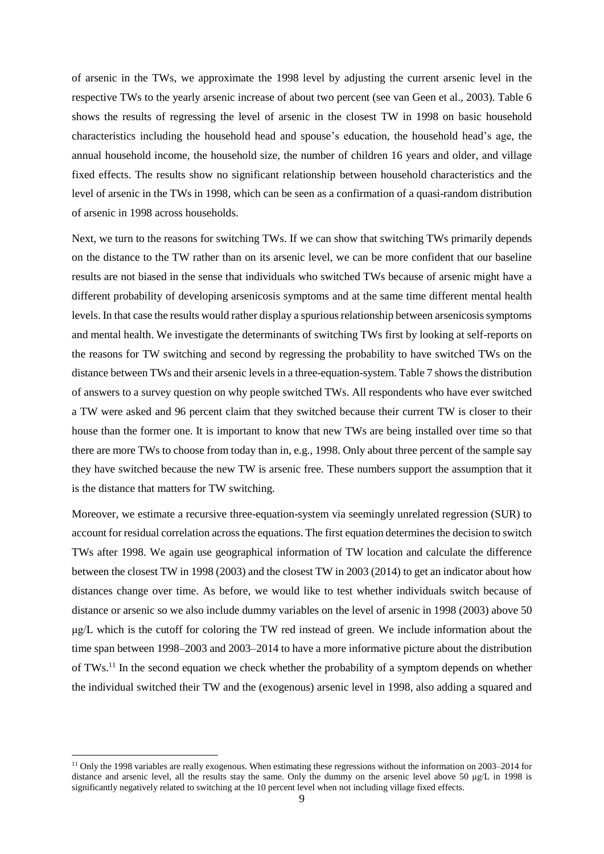of arsenic in the TWs, we approximate the 1998 level by adjusting the current arsenic level in the respective TWs to the yearly arsenic increase of about two percent (see van Geen et al., 2003). Table 6 shows the results of regressing the level of arsenic in the closest TW in 1998 on basic household characteristics including the household head and spouse's education, the household head's age, the annual household income, the household size, the number of children 16 years and older, and village fixed effects. The results show no significant relationship between household characteristics and the level of arsenic in the TWs in 1998, which can be seen as a confirmation of a quasi-random distribution of arsenic in 1998 across households.

Next, we turn to the reasons for switching TWs. If we can show that switching TWs primarily depends on the distance to the TW rather than on its arsenic level, we can be more confident that our baseline results are not biased in the sense that individuals who switched TWs because of arsenic might have a different probability of developing arsenicosis symptoms and at the same time different mental health levels. In that case the results would rather display a spurious relationship between arsenicosis symptoms and mental health. We investigate the determinants of switching TWs first by looking at self-reports on the reasons for TW switching and second by regressing the probability to have switched TWs on the distance between TWs and their arsenic levels in a three-equation-system. Table 7 shows the distribution of answers to a survey question on why people switched TWs. All respondents who have ever switched a TW were asked and 96 percent claim that they switched because their current TW is closer to their house than the former one. It is important to know that new TWs are being installed over time so that there are more TWs to choose from today than in, e.g., 1998. Only about three percent of the sample say they have switched because the new TW is arsenic free. These numbers support the assumption that it is the distance that matters for TW switching.

Moreover, we estimate a recursive three-equation-system via seemingly unrelated regression (SUR) to account for residual correlation across the equations. The first equation determines the decision to switch TWs after 1998. We again use geographical information of TW location and calculate the difference between the closest TW in 1998 (2003) and the closest TW in 2003 (2014) to get an indicator about how distances change over time. As before, we would like to test whether individuals switch because of distance or arsenic so we also include dummy variables on the level of arsenic in 1998 (2003) above 50 μg/L which is the cutoff for coloring the TW red instead of green. We include information about the time span between 1998–2003 and 2003–2014 to have a more informative picture about the distribution of TWs.<sup>11</sup> In the second equation we check whether the probability of a symptom depends on whether the individual switched their TW and the (exogenous) arsenic level in 1998, also adding a squared and

**.** 

<sup>&</sup>lt;sup>11</sup> Only the 1998 variables are really exogenous. When estimating these regressions without the information on 2003–2014 for distance and arsenic level, all the results stay the same. Only the dummy on the arsenic level above 50 μg/L in 1998 is significantly negatively related to switching at the 10 percent level when not including village fixed effects.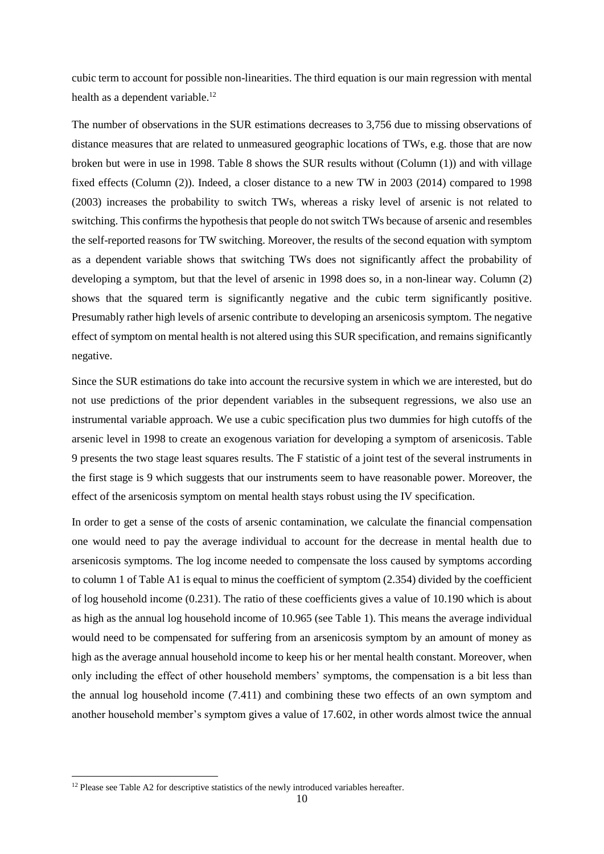cubic term to account for possible non-linearities. The third equation is our main regression with mental health as a dependent variable.<sup>12</sup>

The number of observations in the SUR estimations decreases to 3,756 due to missing observations of distance measures that are related to unmeasured geographic locations of TWs, e.g. those that are now broken but were in use in 1998. Table 8 shows the SUR results without (Column (1)) and with village fixed effects (Column (2)). Indeed, a closer distance to a new TW in 2003 (2014) compared to 1998 (2003) increases the probability to switch TWs, whereas a risky level of arsenic is not related to switching. This confirms the hypothesis that people do not switch TWs because of arsenic and resembles the self-reported reasons for TW switching. Moreover, the results of the second equation with symptom as a dependent variable shows that switching TWs does not significantly affect the probability of developing a symptom, but that the level of arsenic in 1998 does so, in a non-linear way. Column (2) shows that the squared term is significantly negative and the cubic term significantly positive. Presumably rather high levels of arsenic contribute to developing an arsenicosis symptom. The negative effect of symptom on mental health is not altered using this SUR specification, and remains significantly negative.

Since the SUR estimations do take into account the recursive system in which we are interested, but do not use predictions of the prior dependent variables in the subsequent regressions, we also use an instrumental variable approach. We use a cubic specification plus two dummies for high cutoffs of the arsenic level in 1998 to create an exogenous variation for developing a symptom of arsenicosis. Table 9 presents the two stage least squares results. The F statistic of a joint test of the several instruments in the first stage is 9 which suggests that our instruments seem to have reasonable power. Moreover, the effect of the arsenicosis symptom on mental health stays robust using the IV specification.

In order to get a sense of the costs of arsenic contamination, we calculate the financial compensation one would need to pay the average individual to account for the decrease in mental health due to arsenicosis symptoms. The log income needed to compensate the loss caused by symptoms according to column 1 of Table A1 is equal to minus the coefficient of symptom (2.354) divided by the coefficient of log household income (0.231). The ratio of these coefficients gives a value of 10.190 which is about as high as the annual log household income of 10.965 (see Table 1). This means the average individual would need to be compensated for suffering from an arsenicosis symptom by an amount of money as high as the average annual household income to keep his or her mental health constant. Moreover, when only including the effect of other household members' symptoms, the compensation is a bit less than the annual log household income (7.411) and combining these two effects of an own symptom and another household member's symptom gives a value of 17.602, in other words almost twice the annual

**.** 

<sup>&</sup>lt;sup>12</sup> Please see Table A2 for descriptive statistics of the newly introduced variables hereafter.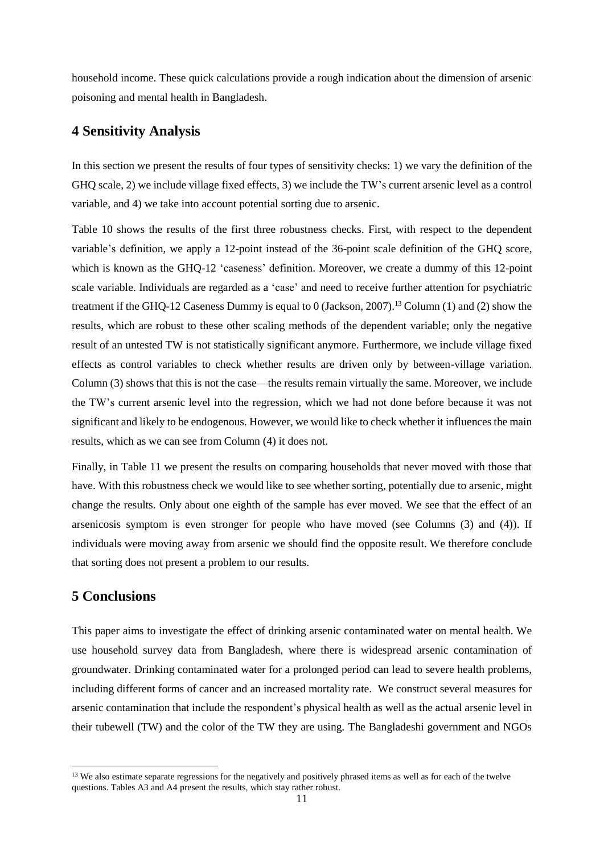household income. These quick calculations provide a rough indication about the dimension of arsenic poisoning and mental health in Bangladesh.

### **4 Sensitivity Analysis**

In this section we present the results of four types of sensitivity checks: 1) we vary the definition of the GHQ scale, 2) we include village fixed effects, 3) we include the TW's current arsenic level as a control variable, and 4) we take into account potential sorting due to arsenic.

Table 10 shows the results of the first three robustness checks. First, with respect to the dependent variable's definition, we apply a 12-point instead of the 36-point scale definition of the GHQ score, which is known as the GHQ-12 'caseness' definition. Moreover, we create a dummy of this 12-point scale variable. Individuals are regarded as a 'case' and need to receive further attention for psychiatric treatment if the GHQ-12 Caseness Dummy is equal to 0 (Jackson, 2007).<sup>13</sup> Column (1) and (2) show the results, which are robust to these other scaling methods of the dependent variable; only the negative result of an untested TW is not statistically significant anymore. Furthermore, we include village fixed effects as control variables to check whether results are driven only by between-village variation. Column (3) shows that this is not the case—the results remain virtually the same. Moreover, we include the TW's current arsenic level into the regression, which we had not done before because it was not significant and likely to be endogenous. However, we would like to check whether it influences the main results, which as we can see from Column (4) it does not.

Finally, in Table 11 we present the results on comparing households that never moved with those that have. With this robustness check we would like to see whether sorting, potentially due to arsenic, might change the results. Only about one eighth of the sample has ever moved. We see that the effect of an arsenicosis symptom is even stronger for people who have moved (see Columns (3) and (4)). If individuals were moving away from arsenic we should find the opposite result. We therefore conclude that sorting does not present a problem to our results.

### **5 Conclusions**

 $\overline{\phantom{a}}$ 

This paper aims to investigate the effect of drinking arsenic contaminated water on mental health. We use household survey data from Bangladesh, where there is widespread arsenic contamination of groundwater. Drinking contaminated water for a prolonged period can lead to severe health problems, including different forms of cancer and an increased mortality rate. We construct several measures for arsenic contamination that include the respondent's physical health as well as the actual arsenic level in their tubewell (TW) and the color of the TW they are using. The Bangladeshi government and NGOs

<sup>&</sup>lt;sup>13</sup> We also estimate separate regressions for the negatively and positively phrased items as well as for each of the twelve questions. Tables A3 and A4 present the results, which stay rather robust.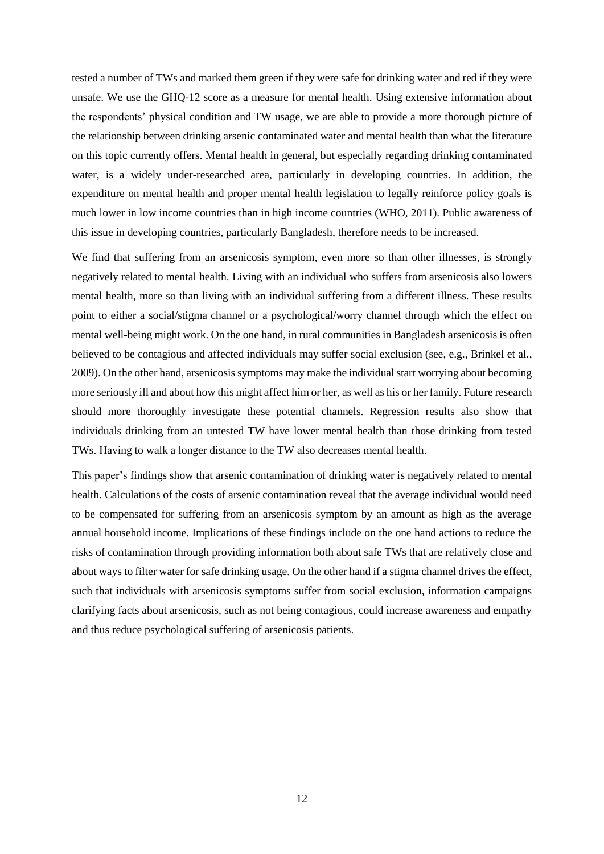tested a number of TWs and marked them green if they were safe for drinking water and red if they were unsafe. We use the GHQ-12 score as a measure for mental health. Using extensive information about the respondents' physical condition and TW usage, we are able to provide a more thorough picture of the relationship between drinking arsenic contaminated water and mental health than what the literature on this topic currently offers. Mental health in general, but especially regarding drinking contaminated water, is a widely under-researched area, particularly in developing countries. In addition, the expenditure on mental health and proper mental health legislation to legally reinforce policy goals is much lower in low income countries than in high income countries (WHO, 2011). Public awareness of this issue in developing countries, particularly Bangladesh, therefore needs to be increased.

We find that suffering from an arsenicosis symptom, even more so than other illnesses, is strongly negatively related to mental health. Living with an individual who suffers from arsenicosis also lowers mental health, more so than living with an individual suffering from a different illness. These results point to either a social/stigma channel or a psychological/worry channel through which the effect on mental well-being might work. On the one hand, in rural communities in Bangladesh arsenicosis is often believed to be contagious and affected individuals may suffer social exclusion (see, e.g., Brinkel et al., 2009). On the other hand, arsenicosis symptoms may make the individual start worrying about becoming more seriously ill and about how this might affect him or her, as well as his or her family. Future research should more thoroughly investigate these potential channels. Regression results also show that individuals drinking from an untested TW have lower mental health than those drinking from tested TWs. Having to walk a longer distance to the TW also decreases mental health.

This paper's findings show that arsenic contamination of drinking water is negatively related to mental health. Calculations of the costs of arsenic contamination reveal that the average individual would need to be compensated for suffering from an arsenicosis symptom by an amount as high as the average annual household income. Implications of these findings include on the one hand actions to reduce the risks of contamination through providing information both about safe TWs that are relatively close and about ways to filter water for safe drinking usage. On the other hand if a stigma channel drives the effect, such that individuals with arsenicosis symptoms suffer from social exclusion, information campaigns clarifying facts about arsenicosis, such as not being contagious, could increase awareness and empathy and thus reduce psychological suffering of arsenicosis patients.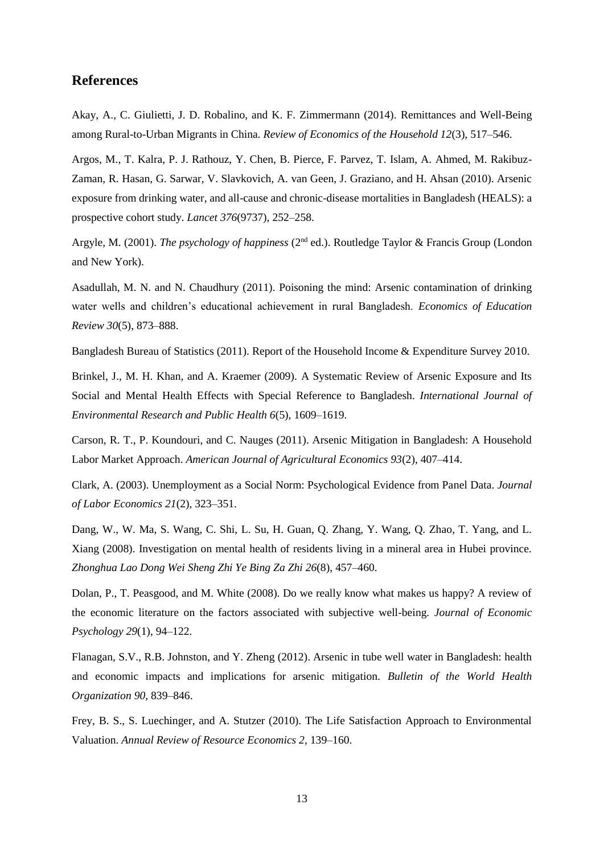#### **References**

Akay, A., C. Giulietti, J. D. Robalino, and K. F. Zimmermann (2014). Remittances and Well-Being among Rural-to-Urban Migrants in China. *Review of Economics of the Household 12*(3), 517–546.

Argos, M., T. Kalra, P. J. Rathouz, Y. Chen, B. Pierce, F. Parvez, T. Islam, A. Ahmed, M. Rakibuz-Zaman, R. Hasan, G. Sarwar, V. Slavkovich, A. van Geen, J. Graziano, and H. Ahsan (2010). Arsenic exposure from drinking water, and all-cause and chronic-disease mortalities in Bangladesh (HEALS): a prospective cohort study. *Lancet 376*(9737), 252–258.

Argyle, M. (2001). *The psychology of happiness* (2nd ed.). Routledge Taylor & Francis Group (London and New York).

Asadullah, M. N. and N. Chaudhury (2011). Poisoning the mind: Arsenic contamination of drinking water wells and children's educational achievement in rural Bangladesh. *Economics of Education Review 30*(5), 873–888.

Bangladesh Bureau of Statistics (2011). Report of the Household Income & Expenditure Survey 2010.

Brinkel, J., M. H. Khan, and A. Kraemer (2009). A Systematic Review of Arsenic Exposure and Its Social and Mental Health Effects with Special Reference to Bangladesh. *International Journal of Environmental Research and Public Health 6*(5), 1609–1619.

Carson, R. T., P. Koundouri, and C. Nauges (2011). Arsenic Mitigation in Bangladesh: A Household Labor Market Approach. *American Journal of Agricultural Economics 93*(2), 407–414.

Clark, A. (2003). Unemployment as a Social Norm: Psychological Evidence from Panel Data. *Journal of Labor Economics 21*(2), 323–351.

Dang, W., W. Ma, S. Wang, C. Shi, L. Su, H. Guan, Q. Zhang, Y. Wang, Q. Zhao, T. Yang, and L. Xiang (2008). Investigation on mental health of residents living in a mineral area in Hubei province. *Zhonghua Lao Dong Wei Sheng Zhi Ye Bing Za Zhi 26*(8), 457–460.

Dolan, P., T. Peasgood, and M. White (2008). Do we really know what makes us happy? A review of the economic literature on the factors associated with subjective well-being. *Journal of Economic Psychology 29*(1), 94–122.

Flanagan, S.V., R.B. Johnston, and Y. Zheng (2012). Arsenic in tube well water in Bangladesh: health and economic impacts and implications for arsenic mitigation. *Bulletin of the World Health Organization 90*, 839–846.

Frey, B. S., S. Luechinger, and A. Stutzer (2010). The Life Satisfaction Approach to Environmental Valuation. *Annual Review of Resource Economics 2*, 139–160.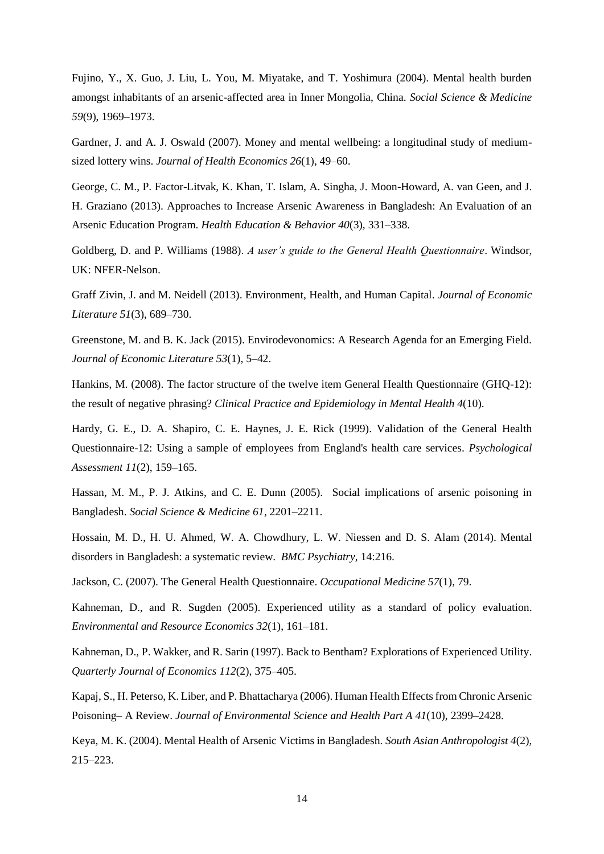Fujino, Y., X. Guo, J. Liu, L. You, M. Miyatake, and T. Yoshimura (2004). Mental health burden amongst inhabitants of an arsenic-affected area in Inner Mongolia, China. *Social Science & Medicine 59*(9), 1969–1973.

Gardner, J. and A. J. Oswald (2007). Money and mental wellbeing: a longitudinal study of mediumsized lottery wins. *Journal of Health Economics 26*(1), 49–60.

George, C. M., P. Factor-Litvak, K. Khan, T. Islam, A. Singha, J. Moon-Howard, A. van Geen, and J. H. Graziano (2013). Approaches to Increase Arsenic Awareness in Bangladesh: An Evaluation of an Arsenic Education Program. *Health Education & Behavior 40*(3), 331–338.

Goldberg, D. and P. Williams (1988). *A user's guide to the General Health Questionnaire*. Windsor, UK: NFER-Nelson.

Graff Zivin, J. and M. Neidell (2013). Environment, Health, and Human Capital. *Journal of Economic Literature 51*(3), 689–730.

Greenstone, M. and B. K. Jack (2015). Envirodevonomics: A Research Agenda for an Emerging Field. *Journal of Economic Literature 53*(1), 5–42.

Hankins, M. (2008). The factor structure of the twelve item General Health Questionnaire (GHQ-12): the result of negative phrasing? *Clinical Practice and Epidemiology in Mental Health 4*(10).

Hardy, G. E., D. A. Shapiro, C. E. Haynes, J. E. Rick (1999). Validation of the General Health Questionnaire-12: Using a sample of employees from England's health care services. *Psychological Assessment 11*(2), 159–165.

Hassan, M. M., P. J. Atkins, and C. E. Dunn (2005). Social implications of arsenic poisoning in Bangladesh. *Social Science & Medicine 61*, 2201–2211.

Hossain, M. D., H. U. Ahmed, W. A. Chowdhury, L. W. Niessen and D. S. Alam (2014). Mental disorders in Bangladesh: a systematic review. *BMC Psychiatry*, 14:216.

Jackson, C. (2007). The General Health Questionnaire. *Occupational Medicine 57*(1), 79.

Kahneman, D., and R. Sugden (2005). Experienced utility as a standard of policy evaluation. *Environmental and Resource Economics 32*(1), 161–181.

Kahneman, D., P. Wakker, and R. Sarin (1997). Back to Bentham? Explorations of Experienced Utility. *Quarterly Journal of Economics 112*(2), 375–405.

Kapaj, S., H. Peterso, K. Liber, and P. Bhattacharya (2006). Human Health Effects from Chronic Arsenic Poisoning– A Review. *Journal of Environmental Science and Health Part A 41*(10), 2399–2428.

Keya, M. K. (2004). Mental Health of Arsenic Victims in Bangladesh. *South Asian Anthropologist 4*(2), 215–223.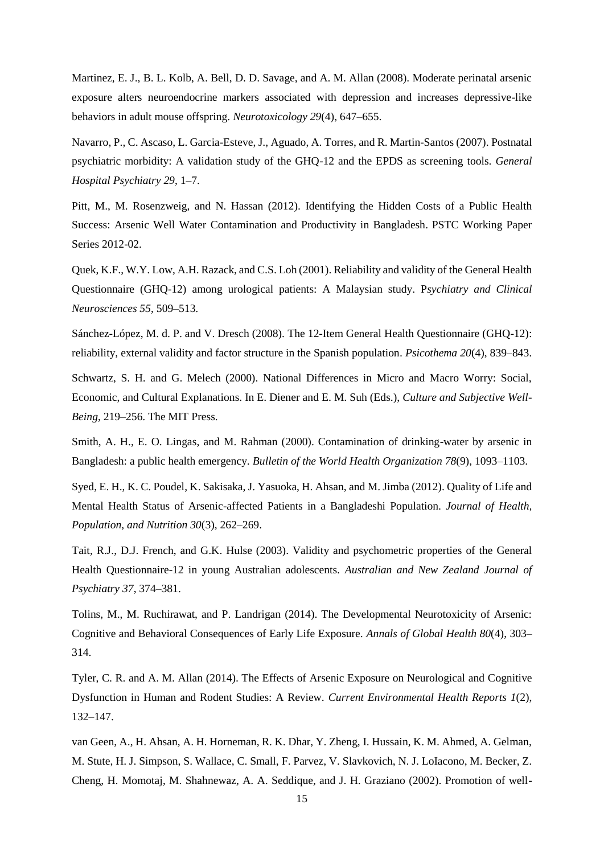Martinez, E. J., B. L. Kolb, A. Bell, D. D. Savage, and A. M. Allan (2008). Moderate perinatal arsenic exposure alters neuroendocrine markers associated with depression and increases depressive-like behaviors in adult mouse offspring. *Neurotoxicology 29*(4), 647–655.

Navarro, P., C. Ascaso, L. Garcia-Esteve, J., Aguado, A. Torres, and R. Martin-Santos (2007). Postnatal psychiatric morbidity: A validation study of the GHQ-12 and the EPDS as screening tools. *General Hospital Psychiatry 29*, 1–7.

Pitt, M., M. Rosenzweig, and N. Hassan (2012). Identifying the Hidden Costs of a Public Health Success: Arsenic Well Water Contamination and Productivity in Bangladesh. PSTC Working Paper Series 2012-02.

Quek, K.F., W.Y. Low, A.H. Razack, and C.S. Loh (2001). Reliability and validity of the General Health Questionnaire (GHQ-12) among urological patients: A Malaysian study. P*sychiatry and Clinical Neurosciences 55*, 509–513.

Sánchez-López, M. d. P. and V. Dresch (2008). The 12-Item General Health Questionnaire (GHQ-12): reliability, external validity and factor structure in the Spanish population. *Psicothema 20*(4), 839–843.

Schwartz, S. H. and G. Melech (2000). National Differences in Micro and Macro Worry: Social, Economic, and Cultural Explanations. In E. Diener and E. M. Suh (Eds.), *Culture and Subjective Well-Being*, 219–256. The MIT Press.

Smith, A. H., E. O. Lingas, and M. Rahman (2000). Contamination of drinking-water by arsenic in Bangladesh: a public health emergency. *Bulletin of the World Health Organization 78*(9), 1093–1103.

Syed, E. H., K. C. Poudel, K. Sakisaka, J. Yasuoka, H. Ahsan, and M. Jimba (2012). Quality of Life and Mental Health Status of Arsenic-affected Patients in a Bangladeshi Population. *Journal of Health, Population, and Nutrition 30*(3), 262–269.

Tait, R.J., D.J. French, and G.K. Hulse (2003). Validity and psychometric properties of the General Health Questionnaire-12 in young Australian adolescents. *Australian and New Zealand Journal of Psychiatry 37*, 374–381.

Tolins, M., M. Ruchirawat, and P. Landrigan (2014). The Developmental Neurotoxicity of Arsenic: Cognitive and Behavioral Consequences of Early Life Exposure. *Annals of Global Health 80*(4), 303– 314.

Tyler, C. R. and A. M. Allan (2014). The Effects of Arsenic Exposure on Neurological and Cognitive Dysfunction in Human and Rodent Studies: A Review. *Current Environmental Health Reports 1*(2), 132–147.

van Geen, A., H. Ahsan, A. H. Horneman, R. K. Dhar, Y. Zheng, I. Hussain, K. M. Ahmed, A. Gelman, M. Stute, H. J. Simpson, S. Wallace, C. Small, F. Parvez, V. Slavkovich, N. J. LoIacono, M. Becker, Z. Cheng, H. Momotaj, M. Shahnewaz, A. A. Seddique, and J. H. Graziano (2002). Promotion of well-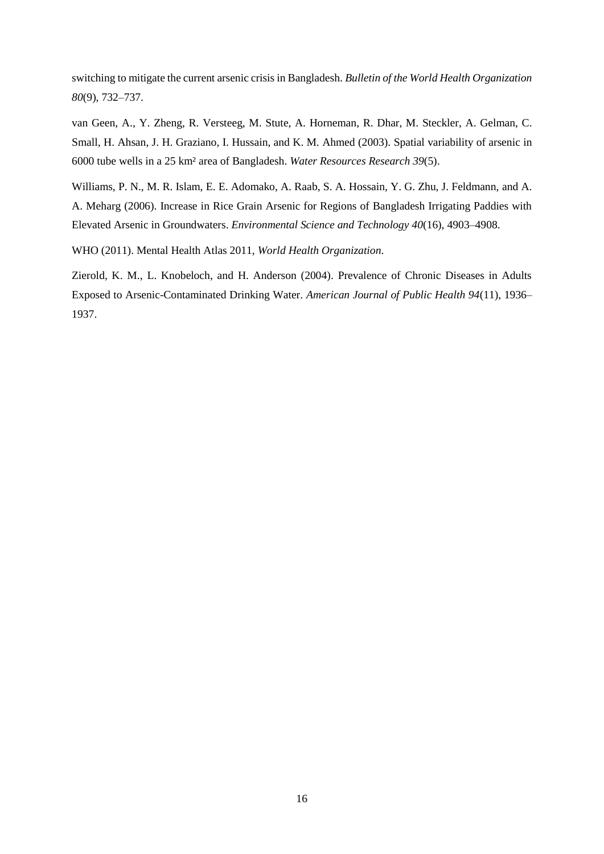switching to mitigate the current arsenic crisis in Bangladesh. *Bulletin of the World Health Organization 80*(9), 732–737.

van Geen, A., Y. Zheng, R. Versteeg, M. Stute, A. Horneman, R. Dhar, M. Steckler, A. Gelman, C. Small, H. Ahsan, J. H. Graziano, I. Hussain, and K. M. Ahmed (2003). Spatial variability of arsenic in 6000 tube wells in a 25 km² area of Bangladesh. *Water Resources Research 39*(5).

Williams, P. N., M. R. Islam, E. E. Adomako, A. Raab, S. A. Hossain, Y. G. Zhu, J. Feldmann, and A. A. Meharg (2006). Increase in Rice Grain Arsenic for Regions of Bangladesh Irrigating Paddies with Elevated Arsenic in Groundwaters. *Environmental Science and Technology 40*(16), 4903–4908.

WHO (2011). Mental Health Atlas 2011, *World Health Organization*.

Zierold, K. M., L. Knobeloch, and H. Anderson (2004). Prevalence of Chronic Diseases in Adults Exposed to Arsenic-Contaminated Drinking Water. *American Journal of Public Health 94*(11), 1936– 1937.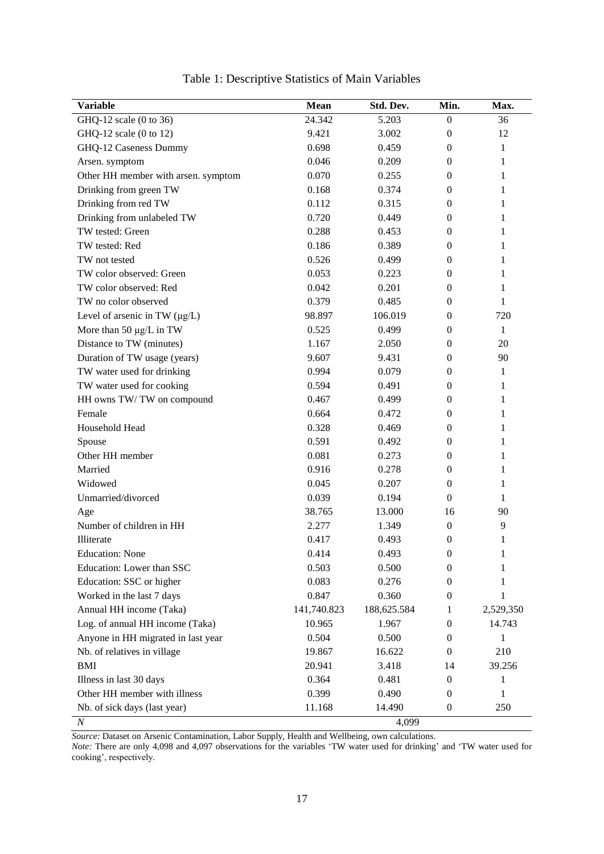| <b>Variable</b>                     | Mean        | Std. Dev.   | Min.             | Max.      |
|-------------------------------------|-------------|-------------|------------------|-----------|
| GHQ-12 scale (0 to 36)              | 24.342      | 5.203       | $\boldsymbol{0}$ | 36        |
| GHQ-12 scale (0 to 12)              | 9.421       | 3.002       | $\boldsymbol{0}$ | 12        |
| GHQ-12 Caseness Dummy               | 0.698       | 0.459       | $\mathbf{0}$     | 1         |
| Arsen. symptom                      | 0.046       | 0.209       | $\mathbf{0}$     | 1         |
| Other HH member with arsen. symptom | 0.070       | 0.255       | $\mathbf{0}$     | 1         |
| Drinking from green TW              | 0.168       | 0.374       | $\mathbf{0}$     | 1         |
| Drinking from red TW                | 0.112       | 0.315       | $\mathbf{0}$     | 1         |
| Drinking from unlabeled TW          | 0.720       | 0.449       | $\mathbf{0}$     | 1         |
| TW tested: Green                    | 0.288       | 0.453       | $\mathbf{0}$     | 1         |
| TW tested: Red                      | 0.186       | 0.389       | $\mathbf{0}$     | 1         |
| TW not tested                       | 0.526       | 0.499       | $\mathbf{0}$     | 1         |
| TW color observed: Green            | 0.053       | 0.223       | $\mathbf{0}$     | 1         |
| TW color observed: Red              | 0.042       | 0.201       | $\theta$         | 1         |
| TW no color observed                | 0.379       | 0.485       | $\boldsymbol{0}$ | 1         |
| Level of arsenic in TW $(\mu g/L)$  | 98.897      | 106.019     | $\mathbf{0}$     | 720       |
| More than 50 $\mu$ g/L in TW        | 0.525       | 0.499       | $\mathbf{0}$     | 1         |
| Distance to TW (minutes)            | 1.167       | 2.050       | $\mathbf{0}$     | 20        |
| Duration of TW usage (years)        | 9.607       | 9.431       | $\mathbf{0}$     | 90        |
| TW water used for drinking          | 0.994       | 0.079       | $\mathbf{0}$     | 1         |
| TW water used for cooking           | 0.594       | 0.491       | $\mathbf{0}$     | 1         |
| HH owns TW/TW on compound           | 0.467       | 0.499       | $\mathbf{0}$     | 1         |
| Female                              | 0.664       | 0.472       | $\mathbf{0}$     | 1         |
| Household Head                      | 0.328       | 0.469       | $\theta$         | 1         |
| Spouse                              | 0.591       | 0.492       | $\mathbf{0}$     | 1         |
| Other HH member                     | 0.081       | 0.273       | $\mathbf{0}$     | 1         |
| Married                             | 0.916       | 0.278       | $\mathbf{0}$     | 1         |
| Widowed                             | 0.045       | 0.207       | $\mathbf{0}$     | 1         |
| Unmarried/divorced                  | 0.039       | 0.194       | $\mathbf{0}$     | 1         |
| Age                                 | 38.765      | 13.000      | 16               | 90        |
| Number of children in HH            | 2.277       | 1.349       | $\boldsymbol{0}$ | 9         |
| Illiterate                          | 0.417       | 0.493       | $\theta$         | 1         |
| <b>Education: None</b>              | 0.414       | 0.493       | $\boldsymbol{0}$ | 1         |
| Education: Lower than SSC           | 0.503       | 0.500       | 0                | 1         |
| Education: SSC or higher            | 0.083       | 0.276       | $\boldsymbol{0}$ | 1         |
| Worked in the last 7 days           | 0.847       | 0.360       | 0                | 1         |
| Annual HH income (Taka)             | 141,740.823 | 188,625.584 | 1                | 2,529,350 |
| Log. of annual HH income (Taka)     | 10.965      | 1.967       | $\boldsymbol{0}$ | 14.743    |
| Anyone in HH migrated in last year  | 0.504       | 0.500       | 0                | 1         |
| Nb. of relatives in village         | 19.867      | 16.622      | $\mathbf{0}$     | 210       |
| <b>BMI</b>                          | 20.941      | 3.418       | 14               | 39.256    |
| Illness in last 30 days             | 0.364       | 0.481       | 0                | 1         |
| Other HH member with illness        | 0.399       | 0.490       | 0                | 1         |
| Nb. of sick days (last year)        | 11.168      | 14.490      | $\boldsymbol{0}$ | 250       |
| $\boldsymbol{N}$                    |             | 4,099       |                  |           |

Table 1: Descriptive Statistics of Main Variables

*Source:* Dataset on Arsenic Contamination, Labor Supply, Health and Wellbeing, own calculations.

*Note:* There are only 4,098 and 4,097 observations for the variables 'TW water used for drinking' and 'TW water used for cooking', respectively.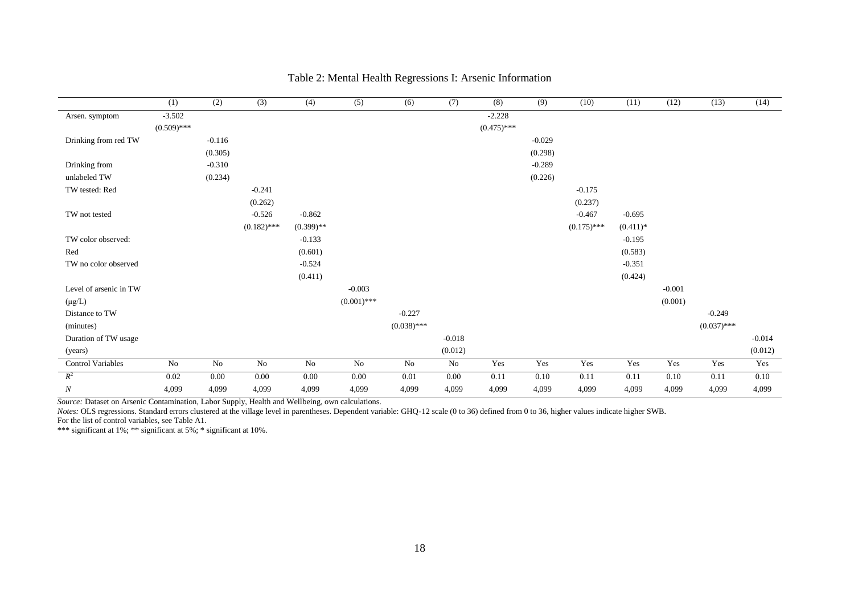|                          | (1)           | (2)      | (3)           | (4)          | (5)           | (6)           | (7)      | (8)           | (9)      | (10)          | (11)       | (12)     | (13)          | (14)     |
|--------------------------|---------------|----------|---------------|--------------|---------------|---------------|----------|---------------|----------|---------------|------------|----------|---------------|----------|
| Arsen. symptom           | $-3.502$      |          |               |              |               |               |          | $-2.228$      |          |               |            |          |               |          |
|                          | $(0.509)$ *** |          |               |              |               |               |          | $(0.475)$ *** |          |               |            |          |               |          |
| Drinking from red TW     |               | $-0.116$ |               |              |               |               |          |               | $-0.029$ |               |            |          |               |          |
|                          |               | (0.305)  |               |              |               |               |          |               | (0.298)  |               |            |          |               |          |
| Drinking from            |               | $-0.310$ |               |              |               |               |          |               | $-0.289$ |               |            |          |               |          |
| unlabeled TW             |               | (0.234)  |               |              |               |               |          |               | (0.226)  |               |            |          |               |          |
| TW tested: Red           |               |          | $-0.241$      |              |               |               |          |               |          | $-0.175$      |            |          |               |          |
|                          |               |          | (0.262)       |              |               |               |          |               |          | (0.237)       |            |          |               |          |
| TW not tested            |               |          | $-0.526$      | $-0.862$     |               |               |          |               |          | $-0.467$      | $-0.695$   |          |               |          |
|                          |               |          | $(0.182)$ *** | $(0.399)$ ** |               |               |          |               |          | $(0.175)$ *** | $(0.411)*$ |          |               |          |
| TW color observed:       |               |          |               | $-0.133$     |               |               |          |               |          |               | $-0.195$   |          |               |          |
| Red                      |               |          |               | (0.601)      |               |               |          |               |          |               | (0.583)    |          |               |          |
| TW no color observed     |               |          |               | $-0.524$     |               |               |          |               |          |               | $-0.351$   |          |               |          |
|                          |               |          |               | (0.411)      |               |               |          |               |          |               | (0.424)    |          |               |          |
| Level of arsenic in TW   |               |          |               |              | $-0.003$      |               |          |               |          |               |            | $-0.001$ |               |          |
| $(\mu g/L)$              |               |          |               |              | $(0.001)$ *** |               |          |               |          |               |            | (0.001)  |               |          |
| Distance to TW           |               |          |               |              |               | $-0.227$      |          |               |          |               |            |          | $-0.249$      |          |
| (minutes)                |               |          |               |              |               | $(0.038)$ *** |          |               |          |               |            |          | $(0.037)$ *** |          |
| Duration of TW usage     |               |          |               |              |               |               | $-0.018$ |               |          |               |            |          |               | $-0.014$ |
| (years)                  |               |          |               |              |               |               | (0.012)  |               |          |               |            |          |               | (0.012)  |
| <b>Control Variables</b> | No            | No       | $\rm No$      | No           | No            | $\rm No$      | No       | Yes           | Yes      | Yes           | Yes        | Yes      | Yes           | Yes      |
| $R^2$                    | 0.02          | 0.00     | 0.00          | 0.00         | 0.00          | 0.01          | 0.00     | 0.11          | 0.10     | 0.11          | 0.11       | 0.10     | 0.11          | 0.10     |
| N                        | 4,099         | 4,099    | 4,099         | 4,099        | 4,099         | 4,099         | 4,099    | 4,099         | 4,099    | 4,099         | 4,099      | 4,099    | 4,099         | 4,099    |

#### Table 2: Mental Health Regressions I: Arsenic Information

*Source:* Dataset on Arsenic Contamination, Labor Supply, Health and Wellbeing, own calculations.

*Notes:* OLS regressions. Standard errors clustered at the village level in parentheses. Dependent variable: GHQ-12 scale (0 to 36) defined from 0 to 36, higher values indicate higher SWB. For the list of control variables, see Table A1.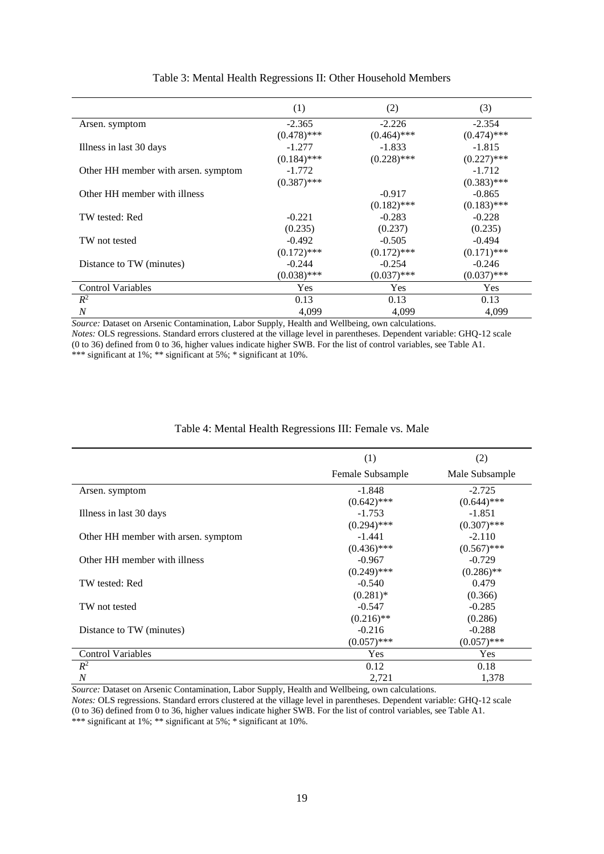|                                     | (1)           | (2)           | (3)           |
|-------------------------------------|---------------|---------------|---------------|
| Arsen. symptom                      | $-2.365$      | $-2.226$      | $-2.354$      |
|                                     | $(0.478)$ *** | $(0.464)$ *** | $(0.474)$ *** |
| Illness in last 30 days             | $-1.277$      | $-1.833$      | $-1.815$      |
|                                     | $(0.184)$ *** | $(0.228)$ *** | $(0.227)$ *** |
| Other HH member with arsen, symptom | $-1.772$      |               | $-1.712$      |
|                                     | $(0.387)$ *** |               | $(0.383)$ *** |
| Other HH member with illness        |               | $-0.917$      | $-0.865$      |
|                                     |               | $(0.182)$ *** | $(0.183)$ *** |
| TW tested: Red                      | $-0.221$      | $-0.283$      | $-0.228$      |
|                                     | (0.235)       | (0.237)       | (0.235)       |
| TW not tested                       | $-0.492$      | $-0.505$      | $-0.494$      |
|                                     | $(0.172)$ *** | $(0.172)$ *** | $(0.171)$ *** |
| Distance to TW (minutes)            | $-0.244$      | $-0.254$      | $-0.246$      |
|                                     | $(0.038)$ *** | $(0.037)$ *** | $(0.037)$ *** |
| <b>Control Variables</b>            | Yes           | <b>Yes</b>    | Yes           |
| $R^2$                               | 0.13          | 0.13          | 0.13          |
| N                                   | 4,099         | 4,099         | 4,099         |

#### Table 3: Mental Health Regressions II: Other Household Members

*Source:* Dataset on Arsenic Contamination, Labor Supply, Health and Wellbeing, own calculations.

*Notes:* OLS regressions. Standard errors clustered at the village level in parentheses. Dependent variable: GHQ-12 scale (0 to 36) defined from 0 to 36, higher values indicate higher SWB. For the list of control variables, see Table A1. \*\*\* significant at 1%; \*\* significant at 5%; \* significant at 10%.

#### Table 4: Mental Health Regressions III: Female vs. Male

|                                     | (1)              | (2)            |
|-------------------------------------|------------------|----------------|
|                                     | Female Subsample | Male Subsample |
| Arsen. symptom                      | $-1.848$         | $-2.725$       |
|                                     | $(0.642)$ ***    | $(0.644)$ ***  |
| Illness in last 30 days             | $-1.753$         | $-1.851$       |
|                                     | $(0.294)$ ***    | $(0.307)$ ***  |
| Other HH member with arsen. symptom | $-1.441$         | $-2.110$       |
|                                     | $(0.436)$ ***    | $(0.567)$ ***  |
| Other HH member with illness        | $-0.967$         | $-0.729$       |
|                                     | $(0.249)$ ***    | $(0.286)$ **   |
| TW tested: Red                      | $-0.540$         | 0.479          |
|                                     | $(0.281)$ *      | (0.366)        |
| TW not tested                       | $-0.547$         | $-0.285$       |
|                                     | $(0.216)$ **     | (0.286)        |
| Distance to TW (minutes)            | $-0.216$         | $-0.288$       |
|                                     | $(0.057)$ ***    | $(0.057)$ ***  |
| <b>Control Variables</b>            | Yes              | Yes            |
| $R^2$                               | 0.12             | 0.18           |
| $\boldsymbol{N}$                    | 2,721            | 1,378          |

*Source:* Dataset on Arsenic Contamination, Labor Supply, Health and Wellbeing, own calculations.

*Notes:* OLS regressions. Standard errors clustered at the village level in parentheses. Dependent variable: GHQ-12 scale (0 to 36) defined from 0 to 36, higher values indicate higher SWB. For the list of control variables, see Table A1. \*\*\* significant at 1%; \*\* significant at 5%; \* significant at 10%.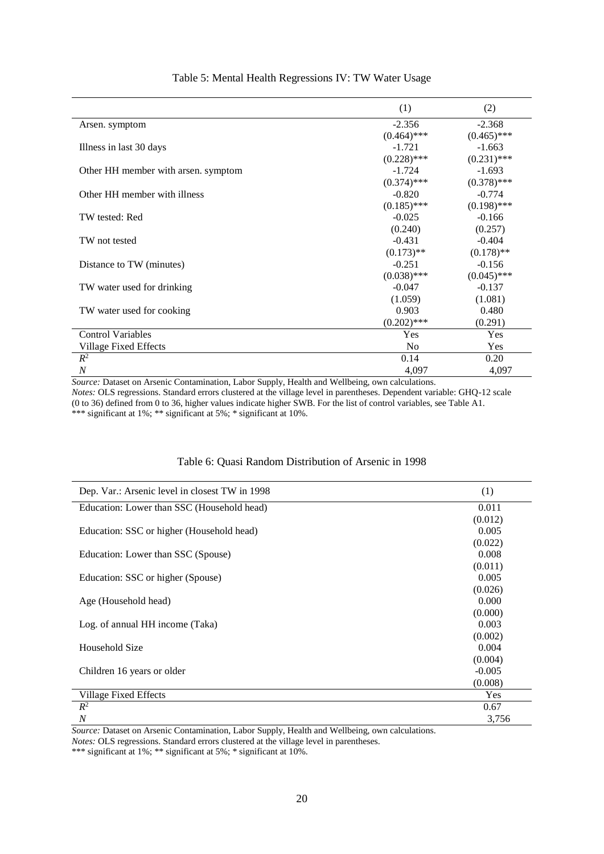|                                     | (1)            | (2)           |
|-------------------------------------|----------------|---------------|
| Arsen. symptom                      | $-2.356$       | $-2.368$      |
|                                     | $(0.464)$ ***  | $(0.465)$ *** |
| Illness in last 30 days             | $-1.721$       | $-1.663$      |
|                                     | $(0.228)$ ***  | $(0.231)$ *** |
| Other HH member with arsen. symptom | $-1.724$       | $-1.693$      |
|                                     | $(0.374)$ ***  | $(0.378)$ *** |
| Other HH member with illness        | $-0.820$       | $-0.774$      |
|                                     | $(0.185)$ ***  | $(0.198)$ *** |
| TW tested: Red                      | $-0.025$       | $-0.166$      |
|                                     | (0.240)        | (0.257)       |
| TW not tested                       | $-0.431$       | $-0.404$      |
|                                     | $(0.173)$ **   | $(0.178)$ **  |
| Distance to TW (minutes)            | $-0.251$       | $-0.156$      |
|                                     | $(0.038)$ ***  | $(0.045)$ *** |
| TW water used for drinking          | $-0.047$       | $-0.137$      |
|                                     | (1.059)        | (1.081)       |
| TW water used for cooking           | 0.903          | 0.480         |
|                                     | $(0.202)$ ***  | (0.291)       |
| <b>Control Variables</b>            | Yes            | Yes           |
| Village Fixed Effects               | N <sub>0</sub> | Yes           |
| $R^2$                               | 0.14           | 0.20          |
| $\cal N$                            | 4,097          | 4,097         |

#### Table 5: Mental Health Regressions IV: TW Water Usage

*Source:* Dataset on Arsenic Contamination, Labor Supply, Health and Wellbeing, own calculations. *Notes:* OLS regressions. Standard errors clustered at the village level in parentheses. Dependent variable: GHQ-12 scale (0 to 36) defined from 0 to 36, higher values indicate higher SWB. For the list of control variables, see Table A1. \*\*\* significant at 1%; \*\* significant at 5%; \* significant at 10%.

#### Table 6: Quasi Random Distribution of Arsenic in 1998

| Dep. Var.: Arsenic level in closest TW in 1998 | (1)      |
|------------------------------------------------|----------|
| Education: Lower than SSC (Household head)     | 0.011    |
|                                                | (0.012)  |
| Education: SSC or higher (Household head)      | 0.005    |
|                                                | (0.022)  |
| Education: Lower than SSC (Spouse)             | 0.008    |
|                                                | (0.011)  |
| Education: SSC or higher (Spouse)              | 0.005    |
|                                                | (0.026)  |
| Age (Household head)                           | 0.000    |
|                                                | (0.000)  |
| Log. of annual HH income (Taka)                | 0.003    |
|                                                | (0.002)  |
| Household Size                                 | 0.004    |
|                                                | (0.004)  |
| Children 16 years or older                     | $-0.005$ |
|                                                | (0.008)  |
| Village Fixed Effects                          | Yes      |
| $R^2$                                          | 0.67     |
| $\cal N$                                       | 3,756    |

*Source:* Dataset on Arsenic Contamination, Labor Supply, Health and Wellbeing, own calculations.

*Notes:* OLS regressions. Standard errors clustered at the village level in parentheses.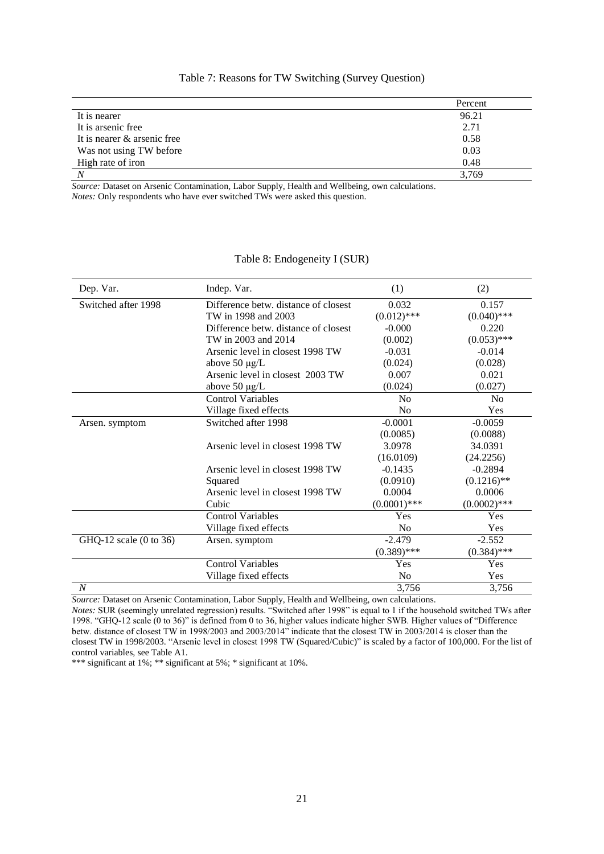|                             | Percent |
|-----------------------------|---------|
| It is nearer                | 96.21   |
| It is arsenic free.         | 2.71    |
| It is nearer & arsenic free | 0.58    |
| Was not using TW before     | 0.03    |
| High rate of iron           | 0.48    |
|                             | 3,769   |

#### Table 7: Reasons for TW Switching (Survey Question)

*Source:* Dataset on Arsenic Contamination, Labor Supply, Health and Wellbeing, own calculations. *Notes:* Only respondents who have ever switched TWs were asked this question.

| Dep. Var.              | Indep. Var.                          | (1)            | (2)            |
|------------------------|--------------------------------------|----------------|----------------|
| Switched after 1998    | Difference betw. distance of closest | 0.032          | 0.157          |
|                        | TW in 1998 and 2003                  | $(0.012)$ ***  | $(0.040)$ ***  |
|                        | Difference betw. distance of closest | $-0.000$       | 0.220          |
|                        | TW in 2003 and 2014                  | (0.002)        | $(0.053)$ ***  |
|                        | Arsenic level in closest 1998 TW     | $-0.031$       | $-0.014$       |
|                        | above $50 \mu g/L$                   | (0.024)        | (0.028)        |
|                        | Arsenic level in closest 2003 TW     | 0.007          | 0.021          |
|                        | above 50 µg/L                        | (0.024)        | (0.027)        |
|                        | <b>Control Variables</b>             | N <sub>0</sub> | N <sub>0</sub> |
|                        | Village fixed effects                | No             | Yes            |
| Arsen. symptom         | Switched after 1998                  | $-0.0001$      | $-0.0059$      |
|                        |                                      | (0.0085)       | (0.0088)       |
|                        | Arsenic level in closest 1998 TW     | 3.0978         | 34.0391        |
|                        |                                      | (16.0109)      | (24.2256)      |
|                        | Arsenic level in closest 1998 TW     | $-0.1435$      | $-0.2894$      |
|                        | Squared                              | (0.0910)       | $(0.1216)$ **  |
|                        | Arsenic level in closest 1998 TW     | 0.0004         | 0.0006         |
|                        | Cubic                                | $(0.0001)$ *** | $(0.0002)$ *** |
|                        | <b>Control Variables</b>             | Yes            | Yes            |
|                        | Village fixed effects                | N <sub>o</sub> | Yes            |
| GHQ-12 scale (0 to 36) | Arsen. symptom                       | $-2.479$       | $-2.552$       |
|                        |                                      | $(0.389)$ ***  | $(0.384)$ ***  |
|                        | <b>Control Variables</b>             | Yes            | Yes            |
|                        | Village fixed effects                | No             | Yes            |
| $\overline{N}$         |                                      | 3,756          | 3,756          |

#### Table 8: Endogeneity I (SUR)

*Source:* Dataset on Arsenic Contamination, Labor Supply, Health and Wellbeing, own calculations.

*Notes:* SUR (seemingly unrelated regression) results. "Switched after 1998" is equal to 1 if the household switched TWs after 1998. "GHQ-12 scale (0 to 36)" is defined from 0 to 36, higher values indicate higher SWB. Higher values of "Difference betw. distance of closest TW in 1998/2003 and 2003/2014" indicate that the closest TW in 2003/2014 is closer than the closest TW in 1998/2003. "Arsenic level in closest 1998 TW (Squared/Cubic)" is scaled by a factor of 100,000. For the list of control variables, see Table A1.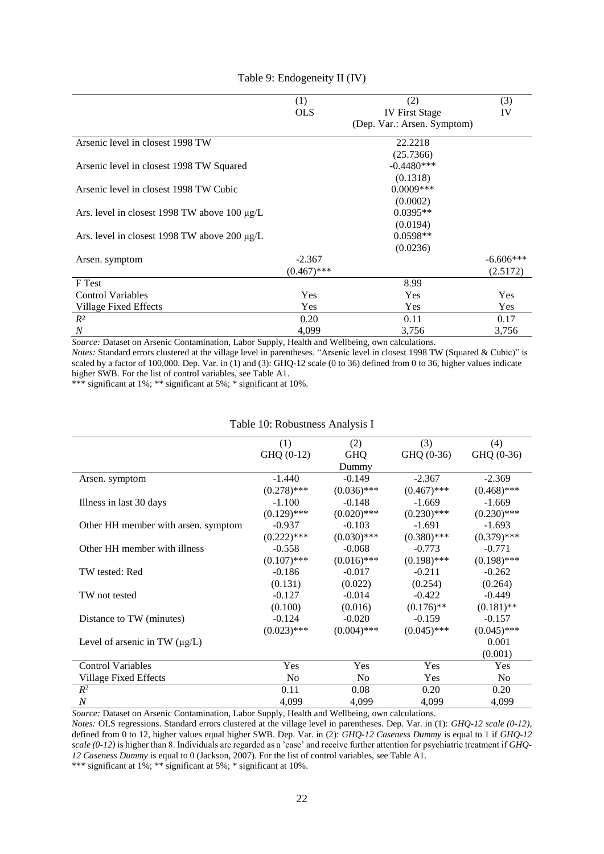|                                                   | (1)           | (2)                         | (3)         |
|---------------------------------------------------|---------------|-----------------------------|-------------|
|                                                   | <b>OLS</b>    | <b>IV</b> First Stage       | IV          |
|                                                   |               | (Dep. Var.: Arsen. Symptom) |             |
| Arsenic level in closest 1998 TW                  |               | 22.2218                     |             |
|                                                   |               | (25.7366)                   |             |
| Arsenic level in closest 1998 TW Squared          |               | $-0.4480***$                |             |
|                                                   |               | (0.1318)                    |             |
| Arsenic level in closest 1998 TW Cubic            |               | $0.0009***$                 |             |
|                                                   |               | (0.0002)                    |             |
| Ars. level in closest 1998 TW above 100 $\mu$ g/L |               | $0.0395**$                  |             |
|                                                   |               | (0.0194)                    |             |
| Ars. level in closest 1998 TW above 200 $\mu$ g/L |               | $0.0598**$                  |             |
|                                                   |               | (0.0236)                    |             |
| Arsen. symptom                                    | $-2.367$      |                             | $-6.606***$ |
|                                                   | $(0.467)$ *** |                             | (2.5172)    |
| F Test                                            |               | 8.99                        |             |
| <b>Control Variables</b>                          | Yes           | Yes                         | Yes         |
| Village Fixed Effects                             | Yes           | Yes                         | Yes         |
| $R^2$                                             | 0.20          | 0.11                        | 0.17        |
| $\boldsymbol{N}$                                  | 4,099         | 3,756                       | 3,756       |

#### Table 9: Endogeneity II (IV)

*Source:* Dataset on Arsenic Contamination, Labor Supply, Health and Wellbeing, own calculations.

*Notes:* Standard errors clustered at the village level in parentheses. "Arsenic level in closest 1998 TW (Squared & Cubic)" is scaled by a factor of 100,000. Dep. Var. in (1) and (3): GHQ-12 scale (0 to 36) defined from 0 to 36, higher values indicate higher SWB. For the list of control variables, see Table A1.

\*\*\* significant at 1%; \*\* significant at 5%; \* significant at 10%.

|                                     | (1)            | (2)            | (3)           | (4)            |
|-------------------------------------|----------------|----------------|---------------|----------------|
|                                     | GHQ (0-12)     | <b>GHQ</b>     | GHQ (0-36)    | GHQ (0-36)     |
|                                     |                |                |               |                |
|                                     |                | Dummy          |               |                |
| Arsen. symptom                      | $-1.440$       | $-0.149$       | $-2.367$      | $-2.369$       |
|                                     | $(0.278)$ ***  | $(0.036)$ ***  | $(0.467)$ *** | $(0.468)$ ***  |
| Illness in last 30 days             | $-1.100$       | $-0.148$       | $-1.669$      | $-1.669$       |
|                                     | $(0.129)$ ***  | $(0.020)$ ***  | $(0.230)$ *** | $(0.230)$ ***  |
| Other HH member with arsen. symptom | $-0.937$       | $-0.103$       | $-1.691$      | $-1.693$       |
|                                     | $(0.222)$ ***  | $(0.030)$ ***  | $(0.380)$ *** | $(0.379)$ ***  |
| Other HH member with illness        | $-0.558$       | $-0.068$       | $-0.773$      | $-0.771$       |
|                                     | $(0.107)$ ***  | $(0.016)$ ***  | $(0.198)$ *** | $(0.198)$ ***  |
| TW tested: Red                      | $-0.186$       | $-0.017$       | $-0.211$      | $-0.262$       |
|                                     | (0.131)        | (0.022)        | (0.254)       | (0.264)        |
| TW not tested                       | $-0.127$       | $-0.014$       | $-0.422$      | $-0.449$       |
|                                     | (0.100)        | (0.016)        | $(0.176)$ **  | $(0.181)$ **   |
| Distance to TW (minutes)            | $-0.124$       | $-0.020$       | $-0.159$      | $-0.157$       |
|                                     | $(0.023)$ ***  | $(0.004)$ ***  | $(0.045)$ *** | $(0.045)$ ***  |
| Level of arsenic in TW $(\mu g/L)$  |                |                |               | 0.001          |
|                                     |                |                |               | (0.001)        |
| <b>Control Variables</b>            | Yes            | Yes            | Yes           | Yes            |
| Village Fixed Effects               | N <sub>0</sub> | N <sub>0</sub> | Yes           | N <sub>o</sub> |
| $R^2$                               | 0.11           | 0.08           | 0.20          | 0.20           |
| $\cal N$                            | 4,099          | 4,099          | 4,099         | 4,099          |

#### Table 10: Robustness Analysis I

*Source:* Dataset on Arsenic Contamination, Labor Supply, Health and Wellbeing, own calculations.

*Notes:* OLS regressions. Standard errors clustered at the village level in parentheses. Dep. Var. in (1): *GHQ-12 scale (0-12)*, defined from 0 to 12, higher values equal higher SWB. Dep. Var. in (2): *GHQ-12 Caseness Dummy* is equal to 1 if *GHQ-12 scale (0-12)* is higher than 8. Individuals are regarded as a 'case' and receive further attention for psychiatric treatment if *GHQ-12 Caseness Dummy* is equal to 0 (Jackson, 2007). For the list of control variables, see Table A1.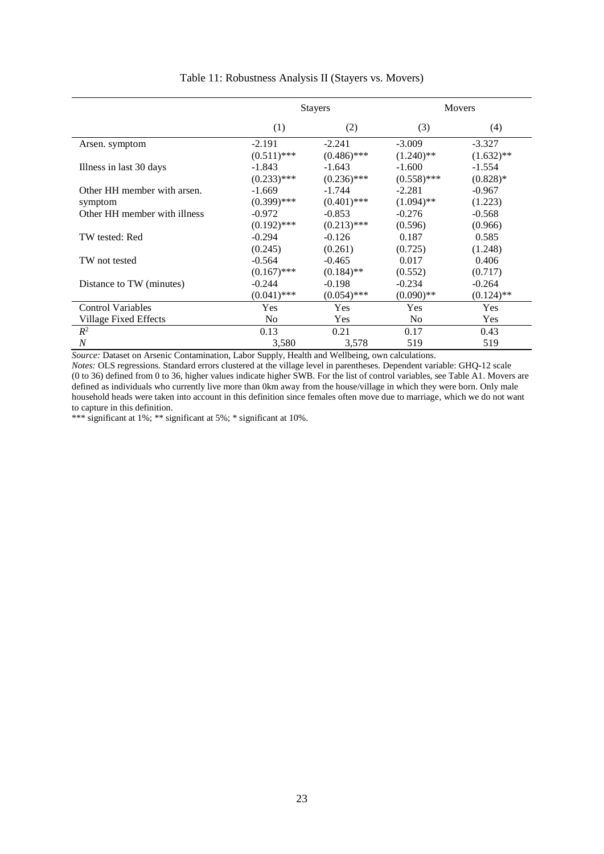|                              |                | <b>Stayers</b> |                | Movers       |
|------------------------------|----------------|----------------|----------------|--------------|
|                              | (1)            | (2)            | (3)            | (4)          |
| Arsen. symptom               | $-2.191$       | $-2.241$       | $-3.009$       | $-3.327$     |
|                              | $(0.511)$ ***  | $(0.486)$ ***  | $(1.240)$ **   | $(1.632)$ ** |
| Illness in last 30 days      | $-1.843$       | $-1.643$       | $-1.600$       | $-1.554$     |
|                              | $(0.233)$ ***  | $(0.236)$ ***  | $(0.558)$ ***  | $(0.828)*$   |
| Other HH member with arsen.  | $-1.669$       | $-1.744$       | $-2.281$       | $-0.967$     |
| symptom                      | $(0.399)$ ***  | $(0.401)$ ***  | $(1.094)$ **   | (1.223)      |
| Other HH member with illness | $-0.972$       | $-0.853$       | $-0.276$       | $-0.568$     |
|                              | $(0.192)$ ***  | $(0.213)$ ***  | (0.596)        | (0.966)      |
| TW tested: Red               | $-0.294$       | $-0.126$       | 0.187          | 0.585        |
|                              | (0.245)        | (0.261)        | (0.725)        | (1.248)      |
| TW not tested                | $-0.564$       | $-0.465$       | 0.017          | 0.406        |
|                              | $(0.167)$ ***  | $(0.184)$ **   | (0.552)        | (0.717)      |
| Distance to TW (minutes)     | $-0.244$       | $-0.198$       | $-0.234$       | $-0.264$     |
|                              | $(0.041)$ ***  | $(0.054)$ ***  | $(0.090)$ **   | $(0.124)$ ** |
| <b>Control Variables</b>     | <b>Yes</b>     | Yes            | Yes            | Yes          |
| Village Fixed Effects        | N <sub>0</sub> | <b>Yes</b>     | N <sub>0</sub> | <b>Yes</b>   |
| $R^2$                        | 0.13           | 0.21           | 0.17           | 0.43         |
| $\overline{N}$               | 3,580          | 3,578          | 519            | 519          |

#### Table 11: Robustness Analysis II (Stayers vs. Movers)

*Source:* Dataset on Arsenic Contamination, Labor Supply, Health and Wellbeing, own calculations.

*Notes:* OLS regressions. Standard errors clustered at the village level in parentheses. Dependent variable: GHQ-12 scale (0 to 36) defined from 0 to 36, higher values indicate higher SWB. For the list of control variables, see Table A1. Movers are defined as individuals who currently live more than 0km away from the house/village in which they were born. Only male household heads were taken into account in this definition since females often move due to marriage, which we do not want to capture in this definition.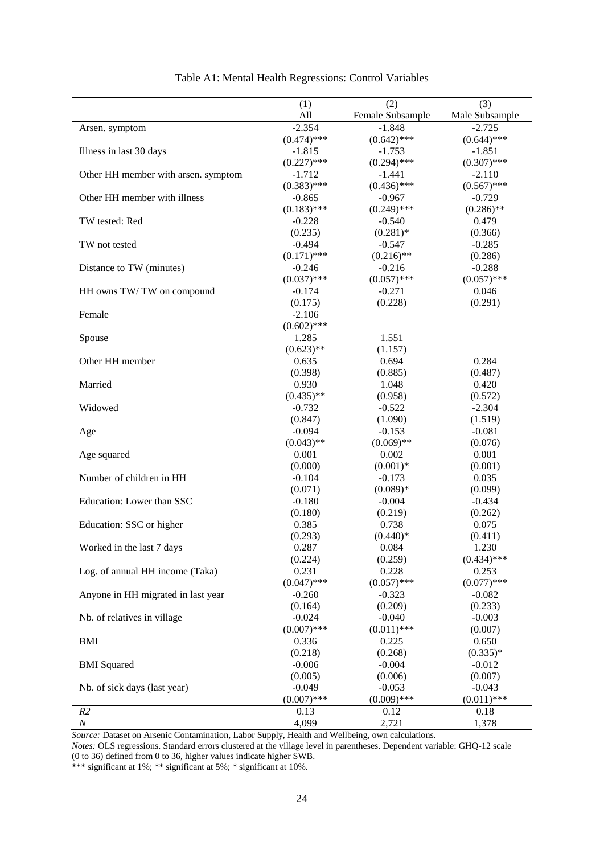|                                     | (1)           | (2)              | (3)            |
|-------------------------------------|---------------|------------------|----------------|
|                                     | All           | Female Subsample | Male Subsample |
| Arsen. symptom                      | $-2.354$      | $-1.848$         | $-2.725$       |
|                                     | $(0.474)$ *** | $(0.642)$ ***    | $(0.644)$ ***  |
| Illness in last 30 days             | $-1.815$      | $-1.753$         | $-1.851$       |
|                                     | $(0.227)$ *** | $(0.294)$ ***    | $(0.307)$ ***  |
| Other HH member with arsen. symptom | $-1.712$      | $-1.441$         | $-2.110$       |
|                                     | $(0.383)$ *** | $(0.436)$ ***    | $(0.567)$ ***  |
| Other HH member with illness        | $-0.865$      | $-0.967$         | $-0.729$       |
|                                     | $(0.183)$ *** | $(0.249)$ ***    | $(0.286)$ **   |
| TW tested: Red                      | $-0.228$      | $-0.540$         | 0.479          |
|                                     | (0.235)       | $(0.281)$ *      | (0.366)        |
| TW not tested                       | $-0.494$      | $-0.547$         | $-0.285$       |
|                                     | $(0.171)$ *** | $(0.216)$ **     | (0.286)        |
| Distance to TW (minutes)            | $-0.246$      | $-0.216$         | $-0.288$       |
|                                     | $(0.037)$ *** | $(0.057)$ ***    | $(0.057)$ ***  |
| HH owns TW/TW on compound           | $-0.174$      | $-0.271$         | 0.046          |
|                                     | (0.175)       | (0.228)          | (0.291)        |
| Female                              | $-2.106$      |                  |                |
|                                     | $(0.602)$ *** |                  |                |
| Spouse                              | 1.285         | 1.551            |                |
|                                     | $(0.623)$ **  | (1.157)          |                |
| Other HH member                     | 0.635         | 0.694            | 0.284          |
|                                     | (0.398)       |                  |                |
|                                     |               | (0.885)          | (0.487)        |
| Married                             | 0.930         | 1.048            | 0.420          |
|                                     | $(0.435)$ **  | (0.958)          | (0.572)        |
| Widowed                             | $-0.732$      | $-0.522$         | $-2.304$       |
|                                     | (0.847)       | (1.090)          | (1.519)        |
| Age                                 | $-0.094$      | $-0.153$         | $-0.081$       |
|                                     | $(0.043)$ **  | $(0.069)$ **     | (0.076)        |
| Age squared                         | 0.001         | 0.002            | 0.001          |
|                                     | (0.000)       | $(0.001)*$       | (0.001)        |
| Number of children in HH            | $-0.104$      | $-0.173$         | 0.035          |
|                                     | (0.071)       | $(0.089)*$       | (0.099)        |
| Education: Lower than SSC           | $-0.180$      | $-0.004$         | $-0.434$       |
|                                     | (0.180)       | (0.219)          | (0.262)        |
| Education: SSC or higher            | 0.385         | 0.738            | 0.075          |
|                                     | (0.293)       | $(0.440)*$       | (0.411)        |
| Worked in the last 7 days           | 0.287         | 0.084            | 1.230          |
|                                     | (0.224)       | (0.259)          | $(0.434)$ ***  |
| Log. of annual HH income (Taka)     | 0.231         | 0.228            | 0.253          |
|                                     | $(0.047)$ *** | $(0.057)$ ***    | $(0.077)$ ***  |
| Anyone in HH migrated in last year  | $-0.260$      | $-0.323$         | $-0.082$       |
|                                     | (0.164)       | (0.209)          | (0.233)        |
| Nb. of relatives in village         | $-0.024$      | $-0.040$         | $-0.003$       |
|                                     | $(0.007)$ *** | $(0.011)$ ***    | (0.007)        |
| <b>BMI</b>                          | 0.336         | 0.225            | 0.650          |
|                                     | (0.218)       | (0.268)          | $(0.335)*$     |
| <b>BMI</b> Squared                  | $-0.006$      | $-0.004$         | $-0.012$       |
|                                     | (0.005)       | (0.006)          | (0.007)        |
| Nb. of sick days (last year)        | $-0.049$      | $-0.053$         | $-0.043$       |
|                                     | $(0.007)$ *** | $(0.009)$ ***    | $(0.011)$ ***  |
| R2                                  | 0.13          | 0.12             | 0.18           |
| $\boldsymbol{N}$                    | 4,099         | 2,721            | 1,378          |
|                                     |               |                  |                |

#### Table A1: Mental Health Regressions: Control Variables

*Source:* Dataset on Arsenic Contamination, Labor Supply, Health and Wellbeing, own calculations.

*Notes:* OLS regressions. Standard errors clustered at the village level in parentheses. Dependent variable: GHQ-12 scale (0 to 36) defined from 0 to 36, higher values indicate higher SWB.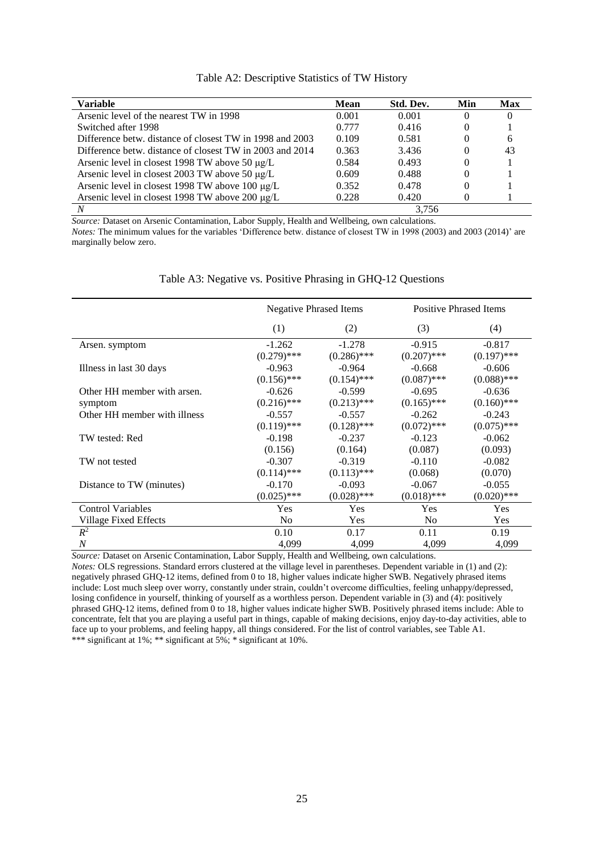| Table A2: Descriptive Statistics of TW History |
|------------------------------------------------|
|------------------------------------------------|

| <b>Variable</b>                                          | <b>Mean</b> | Std. Dev. | Min | <b>Max</b> |
|----------------------------------------------------------|-------------|-----------|-----|------------|
| Arsenic level of the nearest TW in 1998                  | 0.001       | 0.001     | 0   |            |
| Switched after 1998                                      | 0.777       | 0.416     | 0   |            |
| Difference betw. distance of closest TW in 1998 and 2003 | 0.109       | 0.581     | 0   | 6          |
| Difference betw. distance of closest TW in 2003 and 2014 | 0.363       | 3.436     | 0   | 43         |
| Arsenic level in closest 1998 TW above 50 $\mu$ g/L      | 0.584       | 0.493     | 0   |            |
| Arsenic level in closest 2003 TW above 50 $\mu$ g/L      | 0.609       | 0.488     | 0   |            |
| Arsenic level in closest 1998 TW above 100 µg/L          | 0.352       | 0.478     | 0   |            |
| Arsenic level in closest 1998 TW above 200 µg/L          | 0.228       | 0.420     | 0   |            |
|                                                          |             | 3.756     |     |            |

*Source:* Dataset on Arsenic Contamination, Labor Supply, Health and Wellbeing, own calculations. *Notes:* The minimum values for the variables 'Difference betw. distance of closest TW in 1998 (2003) and 2003 (2014)' are marginally below zero.

|                              |                | <b>Negative Phrased Items</b> | <b>Positive Phrased Items</b> |               |  |
|------------------------------|----------------|-------------------------------|-------------------------------|---------------|--|
|                              | (1)            | (2)                           | (3)                           | (4)           |  |
| Arsen. symptom               | $-1.262$       | $-1.278$                      | $-0.915$                      | $-0.817$      |  |
|                              | $(0.279)$ ***  | $(0.286)$ ***                 | $(0.207)$ ***                 | $(0.197)$ *** |  |
| Illness in last 30 days      | $-0.963$       | $-0.964$                      | $-0.668$                      | $-0.606$      |  |
|                              | $(0.156)$ ***  | $(0.154)$ ***                 | $(0.087)$ ***                 | $(0.088)$ *** |  |
| Other HH member with arsen.  | $-0.626$       | $-0.599$                      | $-0.695$                      | $-0.636$      |  |
| symptom                      | $(0.216)$ ***  | $(0.213)$ ***                 | $(0.165)$ ***                 | $(0.160)$ *** |  |
| Other HH member with illness | $-0.557$       | $-0.557$                      | $-0.262$                      | $-0.243$      |  |
|                              | $(0.119)$ ***  | $(0.128)$ ***                 | $(0.072)$ ***                 | $(0.075)$ *** |  |
| TW tested: Red               | $-0.198$       | $-0.237$                      | $-0.123$                      | $-0.062$      |  |
|                              | (0.156)        | (0.164)                       | (0.087)                       | (0.093)       |  |
| TW not tested                | $-0.307$       | $-0.319$                      | $-0.110$                      | $-0.082$      |  |
|                              | $(0.114)$ ***  | $(0.113)$ ***                 | (0.068)                       | (0.070)       |  |
| Distance to TW (minutes)     | $-0.170$       | $-0.093$                      | $-0.067$                      | $-0.055$      |  |
|                              | $(0.025)$ ***  | $(0.028)$ ***                 | $(0.018)$ ***                 | $(0.020)$ *** |  |
| <b>Control Variables</b>     | <b>Yes</b>     | <b>Yes</b>                    | Yes                           | Yes           |  |
| Village Fixed Effects        | N <sub>0</sub> | <b>Yes</b>                    | N <sub>0</sub>                | Yes           |  |
| $R^2$                        | 0.10           | 0.17                          | 0.11                          | 0.19          |  |
| $\boldsymbol{N}$             | 4,099          | 4,099                         | 4,099                         | 4,099         |  |

Table A3: Negative vs. Positive Phrasing in GHQ-12 Questions

*Source:* Dataset on Arsenic Contamination, Labor Supply, Health and Wellbeing, own calculations.

*Notes:* OLS regressions. Standard errors clustered at the village level in parentheses. Dependent variable in (1) and (2): negatively phrased GHQ-12 items, defined from 0 to 18, higher values indicate higher SWB. Negatively phrased items include: Lost much sleep over worry, constantly under strain, couldn't overcome difficulties, feeling unhappy/depressed, losing confidence in yourself, thinking of yourself as a worthless person. Dependent variable in (3) and (4): positively phrased GHQ-12 items, defined from 0 to 18, higher values indicate higher SWB. Positively phrased items include: Able to concentrate, felt that you are playing a useful part in things, capable of making decisions, enjoy day-to-day activities, able to face up to your problems, and feeling happy, all things considered. For the list of control variables, see Table A1. \*\*\* significant at 1%; \*\* significant at 5%; \* significant at 10%.